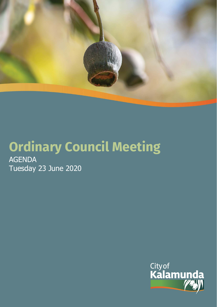

# **Ordinary Council Meeting** AGENDA

Tuesday 23 June 2020

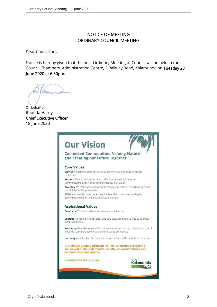# NOTICE OF MEETING ORDINARY COUNCIL MEETING

Dear Councillors

Notice is hereby given that the next Ordinary Meeting of Council will be held in the Council Chambers, Administration Centre, 2 Railway Road, Kalamunda on Tuesday 23 June 2020 at 6.30pm.

On behalf of Rhonda Hardy Chief Executive Officer 18 June 2020

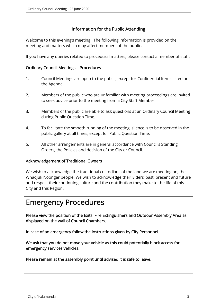# Information for the Public Attending

Welcome to this evening's meeting. The following information is provided on the meeting and matters which may affect members of the public.

If you have any queries related to procedural matters, please contact a member of staff.

# Ordinary Council Meetings – Procedures

- 1. Council Meetings are open to the public, except for Confidential Items listed on the Agenda.
- 2. Members of the public who are unfamiliar with meeting proceedings are invited to seek advice prior to the meeting from a City Staff Member.
- 3. Members of the public are able to ask questions at an Ordinary Council Meeting during Public Question Time.
- 4. To facilitate the smooth running of the meeting, silence is to be observed in the public gallery at all times, except for Public Question Time.
- 5. All other arrangements are in general accordance with Council's Standing Orders, the Policies and decision of the City or Council.

# Acknowledgement of Traditional Owners

We wish to acknowledge the traditional custodians of the land we are meeting on, the Whadjuk Noongar people. We wish to acknowledge their Elders' past, present and future and respect their continuing culture and the contribution they make to the life of this City and this Region.

# Emergency Procedures

Please view the position of the Exits, Fire Extinguishers and Outdoor Assembly Area as displayed on the wall of Council Chambers.

In case of an emergency follow the instructions given by City Personnel.

We ask that you do not move your vehicle as this could potentially block access for emergency services vehicles.

Please remain at the assembly point until advised it is safe to leave.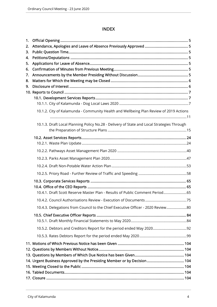# INDEX

| 1.       |                                                                                            |     |
|----------|--------------------------------------------------------------------------------------------|-----|
| 2.       |                                                                                            |     |
| 3.       |                                                                                            |     |
| 4.       |                                                                                            |     |
| 5.       |                                                                                            |     |
| 6.       |                                                                                            |     |
| 7.       |                                                                                            |     |
| 8.<br>9. |                                                                                            |     |
|          |                                                                                            |     |
|          |                                                                                            |     |
|          |                                                                                            |     |
|          | 10.1.2. City of Kalamunda - Community Health and Wellbeing Plan Review of 2019 Actions     |     |
|          | 10.1.3. Draft Local Planning Policy No.28 - Delivery of State and Local Strategies Through |     |
|          |                                                                                            |     |
|          |                                                                                            |     |
|          |                                                                                            |     |
|          |                                                                                            |     |
|          |                                                                                            |     |
|          |                                                                                            |     |
|          |                                                                                            |     |
|          |                                                                                            |     |
|          | 10.4.1. Draft Scott Reserve Master Plan - Results of Public Comment Period 65              |     |
|          | 10.4.2. Council Authorisations Review - Execution of Documents.                            | .75 |
|          | 10.4.3. Delegations from Council to the Chief Executive Officer - 2020 Review80            |     |
|          |                                                                                            |     |
|          |                                                                                            |     |
|          |                                                                                            |     |
|          |                                                                                            |     |
|          |                                                                                            |     |
|          |                                                                                            |     |
|          |                                                                                            |     |
|          | 14. Urgent Business Approved by the Presiding Member or by Decision 104                    |     |
|          |                                                                                            |     |
|          |                                                                                            |     |
|          |                                                                                            |     |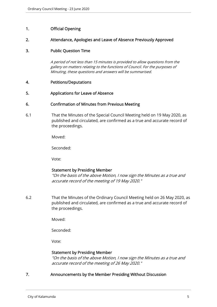# 1. Official Opening

# 2. Attendance, Apologies and Leave of Absence Previously Approved

# 3. Public Question Time

A period of not less than 15 minutes is provided to allow questions from the gallery on matters relating to the functions of Council. For the purposes of Minuting, these questions and answers will be summarised.

# 4. Petitions/Deputations

# 5. Applications for Leave of Absence

# 6. Confirmation of Minutes from Previous Meeting

6.1 That the Minutes of the Special Council Meeting held on 19 May 2020, as published and circulated, are confirmed as a true and accurate record of the proceedings.

Moved:

Seconded:

Vote:

# Statement by Presiding Member

"On the basis of the above Motion, I now sign the Minutes as a true and accurate record of the meeting of 19 May 2020."

6.2 That the Minutes of the Ordinary Council Meeting held on 26 May 2020, as published and circulated, are confirmed as a true and accurate record of the proceedings.

Moved:

Seconded:

Vote:

# Statement by Presiding Member

"On the basis of the above Motion, I now sign the Minutes as a true and accurate record of the meeting of 26 May 2020."

# 7. Announcements by the Member Presiding Without Discussion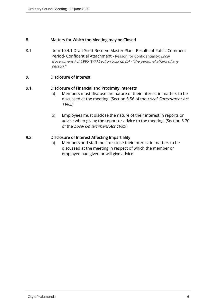# 8. Matters for Which the Meeting may be Closed

8.1 Item 10.4.1 Draft Scott Reserve Master Plan - Results of Public Comment Period- Confidential Attachment - Reason for Confidentiality: Local Government Act 1995 (WA) Section 5.23 (2) (b) - "the personal affairs of any person."

# 9. Disclosure of Interest

# 9.1. Disclosure of Financial and Proximity Interests

- a) Members must disclose the nature of their interest in matters to be discussed at the meeting. (Section 5.56 of the Local Government Act 1995.)
- b) Employees must disclose the nature of their interest in reports or advice when giving the report or advice to the meeting. (Section 5.70 of the Local Government Act 1995.)

# 9.2. Disclosure of Interest Affecting Impartiality

a) Members and staff must disclose their interest in matters to be discussed at the meeting in respect of which the member or employee had given or will give advice.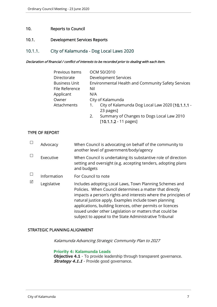# 10. Reports to Council

# 10.1. Development Services Reports

# 10.1.1. City of Kalamunda - Dog Local Laws 2020

#### Declaration of financial / conflict of interests to be recorded prior to dealing with each item.

| Previous Items       | OCM 50/2010                                            |
|----------------------|--------------------------------------------------------|
| Directorate          | <b>Development Services</b>                            |
| <b>Business Unit</b> | Environmental Health and Community Safety Services     |
| File Reference       | Nil                                                    |
| Applicant            | N/A                                                    |
| Owner                | City of Kalamunda                                      |
| Attachments          | City of Kalamunda Dog Local Law 2020 [10.1.1.1 -<br>1. |
|                      | 23 pages]                                              |
|                      | Summary of Changes to Dogs Local Law 2010<br>2.        |
|                      | $[10.1.1.2 - 11 \text{ pages}]$                        |

# TYPE OF REPORT

|   | Advocacy    | When Council is advocating on behalf of the community to<br>another level of government/body/agency                                                                                                                                                                                                                                                                                                                                |
|---|-------------|------------------------------------------------------------------------------------------------------------------------------------------------------------------------------------------------------------------------------------------------------------------------------------------------------------------------------------------------------------------------------------------------------------------------------------|
|   | Executive   | When Council is undertaking its substantive role of direction<br>setting and oversight (e.g. accepting tenders, adopting plans<br>and budgets                                                                                                                                                                                                                                                                                      |
|   | Information | For Council to note                                                                                                                                                                                                                                                                                                                                                                                                                |
| ☑ | Legislative | Includes adopting Local Laws, Town Planning Schemes and<br>Policies. When Council determines a matter that directly<br>impacts a person's rights and interests where the principles of<br>natural justice apply. Examples include town planning<br>applications, building licences, other permits or licences<br>issued under other Legislation or matters that could be<br>subject to appeal to the State Administrative Tribunal |

# STRATEGIC PLANNING ALIGNMENT

Kalamunda Advancing Strategic Community Plan to 2027

#### **Priority 4: Kalamunda Leads**

**Objective 4.1** - To provide leadership through transparent governance. **Strategy 4.1.1** - Provide good governance.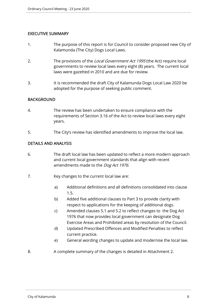# EXECUTIVE SUMMARY

- 1. The purpose of this report is for Council to consider proposed new City of Kalamunda (The City) Dogs Local Laws.
- 2. The provisions of the Local Government Act 1995 (the Act) require local governments to review local laws every eight (8) years. The current local laws were gazetted in 2010 and are due for review.
- 3. It is recommended the draft City of Kalamunda Dogs Local Law 2020 be adopted for the purpose of seeking public comment.

# BACKGROUND

- 4. The review has been undertaken to ensure compliance with the requirements of Section 3.16 of the Act to review local laws every eight years.
- 5. The City's review has identified amendments to improve the local law.

# DETAILS AND ANALYSIS

- 6. The draft local law has been updated to reflect a more modern approach and current local government standards that align with recent amendments made to the Dog Act 1976.
- 7. Key changes to the current local law are:
	- a) Additional definitions and all definitions consolidated into clause 1.5.
	- b) Added five additional clauses to Part 3 to provide clarity with respect to applications for the keeping of additional dogs.
	- c) Amended clauses 5.1 and 5.2 to reflect changes to the Dog Act 1976 that now provides local government can designate Dog Exercise Areas and Prohibited areas by resolution of the Council.
	- d) Updated Prescribed Offences and Modified Penalties to reflect current practice.
	- e) General wording changes to update and modernise the local law.
- 8. A complete summary of the changes is detailed in Attachment 2.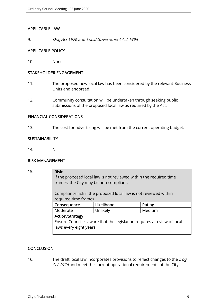# APPLICABLE LAW

9. Dog Act 1976 and Local Government Act 1995

# APPLICABLE POLICY

10. None.

# STAKEHOLDER ENGAGEMENT

- 11. The proposed new local law has been considered by the relevant Business Units and endorsed.
- 12. Community consultation will be undertaken through seeking public submissions of the proposed local law as required by the Act.

# FINANCIAL CONSIDERATIONS

13. The cost for advertising will be met from the current operating budget.

# **SUSTAINABILITY**

14. Nil

#### RISK MANAGEMENT

| 15. | Risk:                                                                                     |            |        |  |  |
|-----|-------------------------------------------------------------------------------------------|------------|--------|--|--|
|     | If the proposed local law is not reviewed within the required time                        |            |        |  |  |
|     | frames, the City may be non-compliant.                                                    |            |        |  |  |
|     | Compliance risk if the proposed local law is not reviewed within<br>required time frames. |            |        |  |  |
|     | Consequence                                                                               | Likelihood | Rating |  |  |
|     | Moderate                                                                                  | Unlikely   | Medium |  |  |
|     | <b>Action/Strategy</b>                                                                    |            |        |  |  |
|     | Ensure Council is aware that the legislation requires a review of local                   |            |        |  |  |
|     | laws every eight years.                                                                   |            |        |  |  |
|     |                                                                                           |            |        |  |  |

# **CONCLUSION**

16. The draft local law incorporates provisions to reflect changes to the *Dog* Act 1976 and meet the current operational requirements of the City.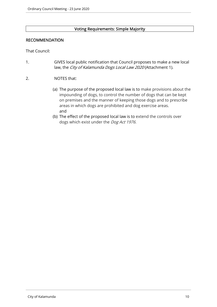# Voting Requirements: Simple Majority

# RECOMMENDATION

That Council:

- 1. GIVES local public notification that Council proposes to make a new local law, the City of Kalamunda Dogs Local Law 2020 (Attachment 1).
- 2. NOTES that:
	- (a) The purpose of the proposed local law is to make provisions about the impounding of dogs, to control the number of dogs that can be kept on premises and the manner of keeping those dogs and to prescribe areas in which dogs are prohibited and dog exercise areas. and
	- (b) The effect of the proposed local law is to extend the controls over dogs which exist under the *Dog Act 1976.*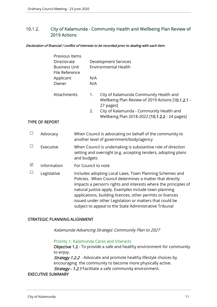# 10.1.2. City of Kalamunda - Community Health and Wellbeing Plan Review of 2019 Actions

#### Declaration of financial / conflict of interests to be recorded prior to dealing with each item.

|                       |                       | Previous Items<br>Directorate<br><b>Business Unit</b><br>File Reference<br>Applicant<br>Owner |                     | N/A<br>N/A                                                                                                                                                                                                                                                                                                                                                                                                                         | <b>Development Services</b><br><b>Environmental Health</b>                                                                                                                                             |
|-----------------------|-----------------------|-----------------------------------------------------------------------------------------------|---------------------|------------------------------------------------------------------------------------------------------------------------------------------------------------------------------------------------------------------------------------------------------------------------------------------------------------------------------------------------------------------------------------------------------------------------------------|--------------------------------------------------------------------------------------------------------------------------------------------------------------------------------------------------------|
|                       |                       | Attachments                                                                                   |                     | 1.<br>2.                                                                                                                                                                                                                                                                                                                                                                                                                           | City of Kalamunda Community Health and<br>Wellbeing Plan Review of 2019 Actions [10.1.2.1 -<br>27 pages]<br>City of Kalamunda - Community Health and<br>Wellbeing Plan 2018-2022 [10.1.2.2 - 24 pages] |
|                       | <b>TYPE OF REPORT</b> |                                                                                               |                     |                                                                                                                                                                                                                                                                                                                                                                                                                                    |                                                                                                                                                                                                        |
| $\Box$                | Advocacy              |                                                                                               |                     |                                                                                                                                                                                                                                                                                                                                                                                                                                    | When Council is advocating on behalf of the community to<br>another level of government/body/agency                                                                                                    |
| $\Box$                | Executive             |                                                                                               | and budgets         |                                                                                                                                                                                                                                                                                                                                                                                                                                    | When Council is undertaking is substantive role of direction<br>setting and oversight (e.g. accepting tenders, adopting plans                                                                          |
| $\Delta$              | Information           |                                                                                               | For Council to note |                                                                                                                                                                                                                                                                                                                                                                                                                                    |                                                                                                                                                                                                        |
| $\Box$<br>Legislative |                       |                                                                                               |                     | Includes adopting Local Laws, Town Planning Schemes and<br>Policies. When Council determines a matter that directly<br>impacts a person's rights and interests where the principles of<br>natural justice apply. Examples include town planning<br>applications, building licences, other permits or licences<br>issued under other Legislation or matters that could be<br>subject to appeal to the State Administrative Tribunal |                                                                                                                                                                                                        |

# STRATEGIC PLANNING ALIGNMENT

Kalamunda Advancing Strategic Community Plan to 2027

#### Priority 1: Kalamunda Cares and Interacts

Objective 1.2 - To provide a safe and healthy environment for community to enjoy.

**Strategy 1.2.2** - Advocate and promote healthy lifestyle choices by encouraging the community to become more physically active. Strategy - 1.2.1 Facilitate a safe community environment.

# EXECUTIVE SUMMARY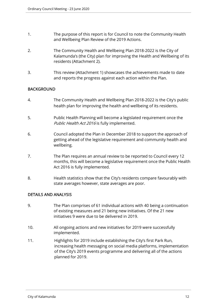- 1. The purpose of this report is for Council to note the Community Health and Wellbeing Plan Review of the 2019 Actions.
- 2. The Community Health and Wellbeing Plan 2018-2022 is the City of Kalamunda's (the City) plan for improving the Health and Wellbeing of its residents (Attachment 2).
- 3. This review (Attachment 1) showcases the achievements made to date and reports the progress against each action within the Plan.

# BACKGROUND

- 4. The Community Health and Wellbeing Plan 2018-2022 is the City's public health plan for improving the health and wellbeing of its residents.
- 5. Public Health Planning will become a legislated requirement once the Public Health Act 2016 is fully implemented.
- 6. Council adopted the Plan in December 2018 to support the approach of getting ahead of the legislative requirement and community health and wellbeing.
- 7. The Plan requires an annual review to be reported to Council every 12 months, this will become a legislative requirement once the Public Health Act 2016 is fully implemented.
- 8. Health statistics show that the City's residents compare favourably with state averages however, state averages are poor.

# DETAILS AND ANALYSIS

- 9. The Plan comprises of 61 individual actions with 40 being a continuation of existing measures and 21 being new initiatives. Of the 21 new initiatives 9 were due to be delivered in 2019.
- 10. All ongoing actions and new initiatives for 2019 were successfully implemented.
- 11. Highlights for 2019 include establishing the City's first Park Run, increasing health messaging on social media platforms, implementation of the City's 2019 events programme and delivering all of the actions planned for 2019.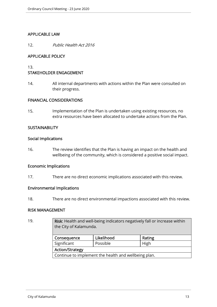# APPLICABLE LAW

12. Public Health Act 2016

# APPLICABLE POLICY

13.

# STAKEHOLDER ENGAGEMENT

14. All internal departments with actions within the Plan were consulted on their progress.

# FINANCIAL CONSIDERATIONS

15. Implementation of the Plan is undertaken using existing resources, no extra resources have been allocated to undertake actions from the Plan.

# **SUSTAINABILITY**

# Social Implications

16. The review identifies that the Plan is having an impact on the health and wellbeing of the community, which is considered a positive social impact.

#### Economic Implications

17. There are no direct economic implications associated with this review.

# Environmental Implications

18. There are no direct environmental impactions associated with this review.

# RISK MANAGEMENT

|                                                      | Risk: Health and well-being indicators negatively fall or increase within<br>the City of Kalamunda. |  |  |  |  |
|------------------------------------------------------|-----------------------------------------------------------------------------------------------------|--|--|--|--|
| Likelihood<br>Rating<br>Consequence                  |                                                                                                     |  |  |  |  |
| Significant<br>Possible<br>High                      |                                                                                                     |  |  |  |  |
| <b>Action/Strategy</b>                               |                                                                                                     |  |  |  |  |
| Continue to implement the health and wellbeing plan. |                                                                                                     |  |  |  |  |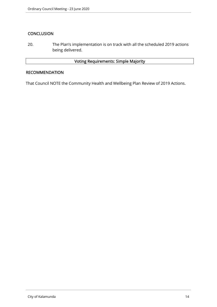# **CONCLUSION**

20. The Plan's implementation is on track with all the scheduled 2019 actions being delivered.

# Voting Requirements: Simple Majority

#### RECOMMENDATION

That Council NOTE the Community Health and Wellbeing Plan Review of 2019 Actions.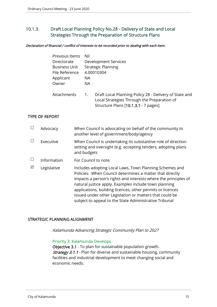# 10.1.3. Draft Local Planning Policy No.28 - Delivery of State and Local Strategies Through the Preparation of Structure Plans

#### Declaration of financial / conflict of interests to be recorded prior to dealing with each item.

| Previous Items       | Nil                                                                                                                                                 |
|----------------------|-----------------------------------------------------------------------------------------------------------------------------------------------------|
| Directorate          | Development Services                                                                                                                                |
| <b>Business Unit</b> | <b>Strategic Planning</b>                                                                                                                           |
| File Reference       | 4.00010304                                                                                                                                          |
| Applicant            | NА                                                                                                                                                  |
| Owner                | NA.                                                                                                                                                 |
| Attachments          | Draft Local Planning Policy 28 - Delivery of State and<br>1.<br>Local Strategies Through the Preparation of<br>Structure Plans [10.1.3.1 - 7 pages] |

# TYPE OF REPORT

|   | Advocacy    | When Council is advocating on behalf of the community to<br>another level of government/body/agency                                                                                                                                                                                                                                                                                                                                |
|---|-------------|------------------------------------------------------------------------------------------------------------------------------------------------------------------------------------------------------------------------------------------------------------------------------------------------------------------------------------------------------------------------------------------------------------------------------------|
|   | Executive   | When Council is undertaking its substantive role of direction<br>setting and oversight (e.g. accepting tenders, adopting plans<br>and budgets                                                                                                                                                                                                                                                                                      |
|   | Information | For Council to note                                                                                                                                                                                                                                                                                                                                                                                                                |
| ⊠ | Legislative | Includes adopting Local Laws, Town Planning Schemes and<br>Policies. When Council determines a matter that directly<br>impacts a person's rights and interests where the principles of<br>natural justice apply. Examples include town planning<br>applications, building licences, other permits or licences<br>issued under other Legislation or matters that could be<br>subject to appeal to the State Administrative Tribunal |

# STRATEGIC PLANNING ALIGNMENT

Kalamunda Advancing Strategic Community Plan to 2027

#### Priority 3: Kalamunda Develops

Objective 3.1 - To plan for sustainable population growth. **Strategy 3.1.1** - Plan for diverse and sustainable housing, community facilities and industrial development to meet changing social and economic needs.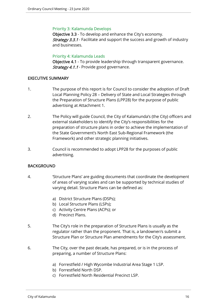# Priority 3: Kalamunda Develops

Objective 3.3 - To develop and enhance the City's economy. **Strategy 3.3.1** - Facilitate and support the success and growth of industry and businesses.

# Priority 4: Kalamunda Leads

Objective 4.1 - To provide leadership through transparent governance. Strategy 4.1.1 - Provide good governance.

# EXECUTIVE SUMMARY

- 1. The purpose of this report is for Council to consider the adoption of Draft Local Planning Policy 28 – Delivery of State and Local Strategies through the Preparation of Structure Plans (LPP28) for the purpose of public advertising at Attachment 1.
- 2. The Policy will guide Council, the City of Kalamunda's (the City) officers and external stakeholders to identify the City's responsibilities for the preparation of structure plans in order to achieve the implementation of the State Government's North East Sub-Regional Framework (the Framework) and other strategic planning initiatives.
- 3. Council is recommended to adopt LPP28 for the purposes of public advertising.

# BACKGROUND

- 4. 'Structure Plans' are guiding documents that coordinate the development of areas of varying scales and can be supported by technical studies of varying detail. Structure Plans can be defined as:
	- a) District Structure Plans (DSPs);
	- b) Local Structure Plans (LSPs);
	- c) Activity Centre Plans (ACPs); or
	- d) Precinct Plans.
- 5. The City's role in the preparation of Structure Plans is usually as the regulator rather than the proponent. That is, a landowner/s submit a Structure Plan or Structure Plan amendments for the City's assessment.
- 6. The City, over the past decade, has prepared, or is in the process of preparing, a number of Structure Plans:
	- a) Forrestfield / High Wycombe Industrial Area Stage 1 LSP.
	- b) Forrestfield North DSP.
	- c) Forrestfield North Residential Precinct LSP.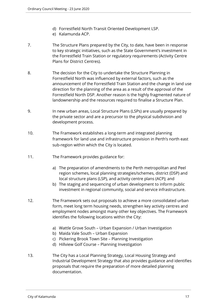- d) Forrestfield North Transit Oriented Development LSP.
- e) Kalamunda ACP.
- 7. The Structure Plans prepared by the City, to date, have been in response to key strategic initiatives, such as the State Government's investment in the Forrestfield Train Station or regulatory requirements (Activity Centre Plans for District Centres).
- 8. The decision for the City to undertake the Structure Planning in Forrestfield North was influenced by external factors, such as the announcement of the Forrestfield Train Station and the change in land use direction for the planning of the area as a result of the approval of the Forrestfield North DSP. Another reason is the highly fragmented nature of landownership and the resources required to finalise a Structure Plan.
- 9. In new urban areas, Local Structure Plans (LSPs) are usually prepared by the private sector and are a precursor to the physical subdivision and development process.
- 10. The Framework establishes a long-term and integrated planning framework for land use and infrastructure provision in Perth's north east sub-region within which the City is located.
- 11. The Framework provides guidance for:
	- a) The preparation of amendments to the Perth metropolitan and Peel region schemes, local planning strategies/schemes, district (DSP) and local structure plans (LSP), and activity centre plans (ACP); and
	- b) The staging and sequencing of urban development to inform public investment in regional community, social and service infrastructure.
- 12. The Framework sets out proposals to achieve a more consolidated urban form, meet long term housing needs, strengthen key activity centres and employment nodes amongst many other key objectives. The Framework identifies the following locations within the City:
	- a) Wattle Grove South Urban Expansion / Urban Investigation
	- b) Maida Vale South Urban Expansion
	- c) Pickering Brook Town Site Planning Investigation
	- d) Hillview Golf Course Planning Investigation
- 13. The City has a Local Planning Strategy, Local Housing Strategy and Industrial Development Strategy that also provides guidance and identifies proposals that require the preparation of more detailed planning documentation.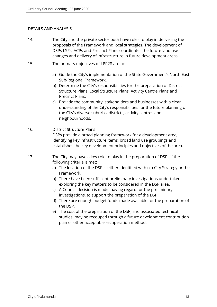# DETAILS AND ANALYSIS

- 14. The City and the private sector both have roles to play in delivering the proposals of the Framework and local strategies. The development of DSPs LSPs, ACPs and Precinct Plans coordinates the future land use changes and delivery of infrastructure in future development areas.
- 15. The primary objectives of LPP28 are to:
	- a) Guide the City's implementation of the State Government's North East Sub-Regional Framework.
	- b) Determine the City's responsibilities for the preparation of District Structure Plans, Local Structure Plans, Activity Centre Plans and Precinct Plans.
	- c) Provide the community, stakeholders and businesses with a clear understanding of the City's responsibilities for the future planning of the City's diverse suburbs, districts, activity centres and neighbourhoods.

# 16. District Structure Plans

DSPs provide a broad planning framework for a development area, identifying key infrastructure items, broad land use groupings and establishes the key development principles and objectives of the area.

- 17. The City may have a key role to play in the preparation of DSPs if the following criteria is met:
	- a) The location of the DSP is either identified within a City Strategy or the Framework.
	- b) There have been sufficient preliminary investigations undertaken exploring the key matters to be considered in the DSP area.
	- c) A Council decision is made, having regard for the preliminary investigations, to support the preparation of the DSP.
	- d) There are enough budget funds made available for the preparation of the DSP.
	- e) The cost of the preparation of the DSP, and associated technical studies, may be recouped through a future development contribution plan or other acceptable recuperation method.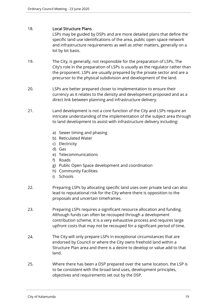# 18. Local Structure Plans

LSPs may be guided by DSPs and are more detailed plans that define the specific land use identifications of the area, public open space network and infrastructure requirements as well as other matters, generally on a lot by lot basis.

- 19. The City, is generally, not responsible for the preparation of LSPs. The City's role in the preparation of LSPs is usually as the regulator rather than the proponent. LSPs are usually prepared by the private sector and are a precursor to the physical subdivision and development of the land.
- 20. LSPs are better prepared closer to implementation to ensure their currency as it relates to the density and development proposed and as a direct link between planning and infrastructure delivery.
- 21. Land development is not a core function of the City and LSPs require an intricate understanding of the implementation of the subject area through to land development to assist with infrastructure delivery including:
	- a) Sewer timing and phasing
	- b) Reticulated Water
	- c) Electricity
	- d) Gas
	- e) Telecommunications
	- f) Roads
	- g) Public Open Space development and coordination
	- h) Community Facilities
	- i) Schools
- 22. Preparing LSPs by allocating specific land uses over private land can also lead to reputational risk for the City where there is opposition to the proposals and uncertain timeframes.
- 23. Preparing LSPs requires a significant resource allocation and funding. Although funds can often be recouped through a development contribution scheme, it is a very exhaustive process and requires large upfront costs that may not be recouped for a significant period of time.
- 24. The City will only prepare LSPs in exceptional circumstances that are endorsed by Council or where the City owns freehold land within a Structure Plan area and there is a desire to develop or value add to that land.
- 25. Where there has been a DSP prepared over the same location, the LSP is to be consistent with the broad land uses, development principles, objectives and requirements set out by the DSP.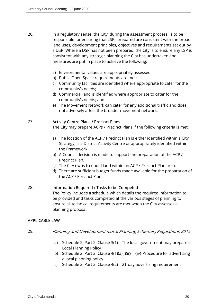- 26. In a regulatory sense, the City, during the assessment process, is to be responsible for ensuring that LSPs prepared are consistent with the broad land uses, development principles, objectives and requirements set out by a DSP. Where a DSP has not been prepared, the City is to ensure any LSP is consistent with any strategic planning the City has undertaken and measures are put in place to achieve the following:
	- a) Environmental values are appropriately assessed;
	- b) Public Open Space requirements are met:
	- c) Community facilities are identified where appropriate to cater for the community's needs;
	- d) Commercial land is identified where appropriate to cater for the community's needs; and
	- e) The Movement Network can cater for any additional traffic and does not adversely affect the broader movement network.

# 27. Activity Centre Plans / Precinct Plans

The City may prepare ACPs / Precinct Plans if the following criteria is met:

- a) The location of the ACP / Precinct Plan is either identified within a City Strategy, is a District Activity Centre or appropriately identified within the Framework.
- b) A Council decision is made to support the preparation of the ACP / Precinct Plan.
- c) The City owns freehold land within an ACP / Precinct Plan area.
- d) There are sufficient budget funds made available for the preparation of the ACP / Precinct Plan.

# 28. Information Required / Tasks to be Competed

The Policy includes a schedule which details the required information to be provided and tasks completed at the various stages of planning to ensure all technical requirements are met when the City assesses a planning proposal.

# APPLICABLE LAW

- 29. Planning and Development (Local Planning Schemes) Regulations 2015
	- a) Schedule 2, Part 2, Clause 3(1) The local government may prepare a Local Planning Policy
	- b) Schedule 2, Part 2, Clause 4(1)(a)(i)(ii)(iii)(iv)-Procedure for advertising a local planning policy
	- c) Schedule 2, Part 2, Clause 4(2) 21-day advertising requirement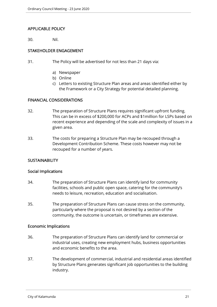# APPLICABLE POLICY

30. Nil.

# STAKEHOLDER ENGAGEMENT

- 31. The Policy will be advertised for not less than 21 days via:
	- a) Newspaper
	- b) Online
	- c) Letters to existing Structure Plan areas and areas identified either by the Framework or a City Strategy for potential detailed planning.

# FINANCIAL CONSIDERATIONS

- 32. The preparation of Structure Plans requires significant upfront funding. This can be in excess of \$200,000 for ACPs and \$1million for LSPs based on recent experience and depending of the scale and complexity of issues in a given area.
- 33. The costs for preparing a Structure Plan may be recouped through a Development Contribution Scheme. These costs however may not be recouped for a number of years.

# **SUSTAINABILITY**

#### Social Implications

- 34. The preparation of Structure Plans can identify land for community facilities, schools and public open space, catering for the community's needs to leisure, recreation, education and socialisation.
- 35. The preparation of Structure Plans can cause stress on the community, particularly where the proposal is not desired by a section of the community, the outcome is uncertain, or timeframes are extensive.

# Economic Implications

- 36. The preparation of Structure Plans can identify land for commercial or industrial uses, creating new employment hubs, business opportunities and economic benefits to the area.
- 37. The development of commercial, industrial and residential areas identified by Structure Plans generates significant job opportunities to the building industry.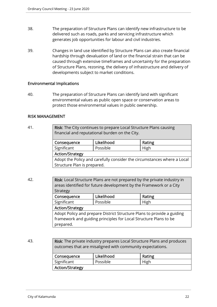- 38. The preparation of Structure Plans can identify new infrastructure to be delivered such as roads, parks and servicing infrastructure which generates job opportunities for labour and civil industries.
- 39. Changes in land use identified by Structure Plans can also create financial hardship through devaluation of land or the financial strain that can be caused through extensive timeframes and uncertainty for the preparation of Structure Plans, rezoning, the delivery of infrastructure and delivery of developments subject to market conditions.

# Environmental Implications

40. The preparation of Structure Plans can identify land with significant environmental values as public open space or conservation areas to protect those environmental values in public ownership.

# RISK MANAGEMENT

| 41. | , <b>Risk</b> : The City continues to prepare Local Structure Plans causing |
|-----|-----------------------------------------------------------------------------|
|     | financial and reputational burden on the City.                              |

| Consequence                                                             | Likelihood | Rating |  |  |
|-------------------------------------------------------------------------|------------|--------|--|--|
| Significant                                                             | Possible   | High   |  |  |
| <b>Action/Strategy</b>                                                  |            |        |  |  |
| Adopt the Policy and carefully consider the circumstances where a Local |            |        |  |  |
| Structure Plan is prepared.                                             |            |        |  |  |

42. **Risk:** Local Structure Plans are not prepared by the private industry in areas identified for future development by the Framework or a City Strategy Consequence | Likelihood | Rating Significant | Possible | High Action/Strategy Adopt Policy and prepare District Structure Plans to provide a guiding framework and guiding principles for Local Structure Plans to be prepared.

43. **Risk:** The private industry prepares Local Structure Plans and produces outcomes that are misaligned with community expectations.

| Consequence            | Likelihood | Rating |
|------------------------|------------|--------|
| Significant            | Possible   | High   |
| <b>Action/Strategy</b> |            |        |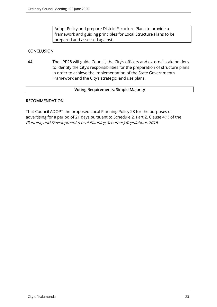Adopt Policy and prepare District Structure Plans to provide a framework and guiding principles for Local Structure Plans to be prepared and assessed against.

# **CONCLUSION**

44. The LPP28 will guide Council, the City's officers and external stakeholders to identify the City's responsibilities for the preparation of structure plans in order to achieve the implementation of the State Government's Framework and the City's strategic land use plans.

# Voting Requirements: Simple Majority

# RECOMMENDATION

That Council ADOPT the proposed Local Planning Policy 28 for the purposes of advertising for a period of 21 days pursuant to Schedule 2, Part 2, Clause 4(1) of the Planning and Development (Local Planning Schemes) Regulations 2015.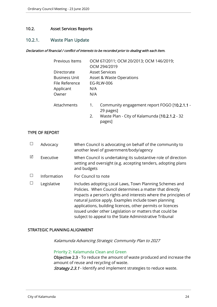# 10.2. Asset Services Reports

# 10.2.1. Waste Plan Update

#### Declaration of financial / conflict of interests to be recorded prior to dealing with each item.

| Previous Items | OCM 67/2011; OCM 20/2013; OCM 146/2019;<br>OCM 294/2019         |
|----------------|-----------------------------------------------------------------|
| Directorate    | <b>Asset Services</b>                                           |
| Business Unit  | Asset & Waste Operations                                        |
| File Reference | <b>EG-RLW-006</b>                                               |
| Applicant      | N/A                                                             |
| Owner          | N/A                                                             |
| Attachments    | Community engagement report FOGO [10.2.1.1 -<br>1.<br>29 pages] |
|                | Waste Plan - City of Kalamunda [10.2.1.2 - 32<br>2.<br>pages]   |

# TYPE OF REPORT

|   | Advocacy    | When Council is advocating on behalf of the community to<br>another level of government/body/agency                                                                                                                                                                                                                                                                                                                                |
|---|-------------|------------------------------------------------------------------------------------------------------------------------------------------------------------------------------------------------------------------------------------------------------------------------------------------------------------------------------------------------------------------------------------------------------------------------------------|
| ⊠ | Executive   | When Council is undertaking its substantive role of direction<br>setting and oversight (e.g. accepting tenders, adopting plans<br>and budgets                                                                                                                                                                                                                                                                                      |
|   | Information | For Council to note                                                                                                                                                                                                                                                                                                                                                                                                                |
|   | Legislative | Includes adopting Local Laws, Town Planning Schemes and<br>Policies. When Council determines a matter that directly<br>impacts a person's rights and interests where the principles of<br>natural justice apply. Examples include town planning<br>applications, building licences, other permits or licences<br>issued under other Legislation or matters that could be<br>subject to appeal to the State Administrative Tribunal |

# STRATEGIC PLANNING ALIGNMENT

Kalamunda Advancing Strategic Community Plan to 2027

#### Priority 2: Kalamunda Clean and Green

Objective 2.3 - To reduce the amount of waste produced and increase the amount of reuse and recycling of waste.

**Strategy 2.3.1** - Identify and implement strategies to reduce waste.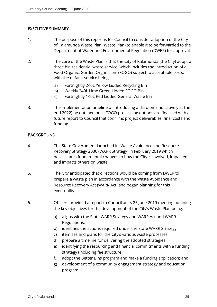# EXECUTIVE SUMMARY

- 1. The purpose of this report is for Council to consider adoption of the City of Kalamunda Waste Plan (Waste Plan) to enable it to be forwarded to the Department of Water and Environmental Regulation (DWER) for approval.
- 2. The core of the Waste Plan is that the City of Kalamunda (the City) adopt a three bin residential waste service (which includes the introduction of a Food Organic, Garden Organic bin (FOGO) subject to acceptable costs, with the default service being:
	- a) Fortnightly 240L Yellow Lidded Recycling Bin
	- b) Weekly 240L Lime Green Lidded FOGO Bin
	- c) Fortnightly 140L Red Lidded General Waste Bin
- 3. The implementation timeline of introducing a third bin (indicatively at the end 2022) be outlined once FOGO processing options are finalised with a future report to Council that confirms project deliverables, final costs and funding.

# BACKGROUND

- 4. The State Government launched its Waste Avoidance and Resource Recovery Strategy 2030 (WARR Strategy) in February 2019 which necessitates fundamental changes to how the City is involved, impacted and impacts others on waste.
- 5. The City anticipated that directions would be coming from DWER to prepare a waste plan in accordance with the Waste Avoidance and Resource Recovery Act (WARR Act) and began planning for this eventuality.
- 6. Officers provided a report to Council at its 25 June 2019 meeting outlining the key objectives for the development of the City's Waste Plan being:
	- a) aligns with the State WARR Strategy and WARR Act and WARR Regulations;
	- b) identifies the actions required under the State WARR Strategy;
	- c) itemises and plans for the City's various waste processes;
	- d) prepare a timeline for delivering the adopted strategies;
	- e) identifying the resourcing and financial commitments with a funding strategy (including fee structure);
	- f) adopt the Better Bins program and make a funding application; and
	- g) development of a community engagement strategy and education program.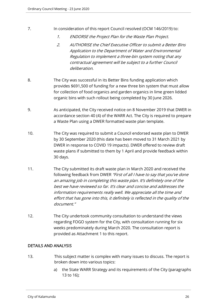- 7. In consideration of this report Council resolved (OCM 146/2019) to:
	- 1. ENDORSE the Project Plan for the Waste Plan Project.
	- 2. AUTHORISE the Chief Executive Officer to submit a Better Bins Application to the Department of Water and Environmental Regulation to implement a three-bin system noting that any contractual agreement will be subject to a further Council deliberation.
- 8. The City was successful in its Better Bins funding application which provides \$691,500 of funding for a new three bin system that must allow for collection of food organics and garden organics in lime green lidded organic bins with such rollout being completed by 30 June 2026.
- 9. As anticipated, the City received notice on 8 November 2019 that DWER in accordance section 40 (4) of the WARR Act. The City is required to prepare a Waste Plan using a DWER formatted waste plan template.
- 10. The City was required to submit a Council endorsed waste plan to DWER by 30 September 2020 (this date has been moved to 31 March 2021 by DWER in response to COVID 19 impacts). DWER offered to review draft waste plans if submitted to them by 1 April and provide feedback within 30 days.
- 11. The City submitted its draft waste plan in March 2020 and received the following feedback from DWER "First of all I have to say that you've done an amazing job in completing this waste plan. It's definitely one of the best we have reviewed so far. It's clear and concise and addresses the information requirements really well. We appreciate all the time and effort that has gone into this, it definitely is reflected in the quality of the document."
- 12. The City undertook community consultation to understand the views regarding FOGO system for the City, with consultation running for six weeks predominately during March 2020. The consultation report is provided as Attachment 1 to this report.

# DETAILS AND ANALYSIS

- 13. This subject matter is complex with many issues to discuss. The report is broken down into various topics:
	- a) the State WARR Strategy and its requirements of the City (paragraphs 13 to 16);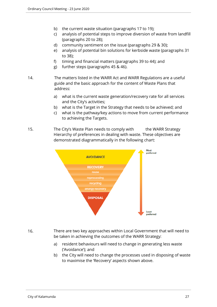- b) the current waste situation (paragraphs 17 to 19);
- c) analysis of potential steps to improve diversion of waste from landfill (paragraphs 20 to 28);
- d) community sentiment on the issue (paragraphs 29 & 30);
- e) analysis of potential bin solutions for kerbside waste (paragraphs 31 to 38);
- f) timing and financial matters (paragraphs 39 to 44); and
- g) further steps (paragraphs 45 & 46).
- 14. The matters listed in the WARR Act and WARR Regulations are a useful guide and the basic approach for the content of Waste Plans that address:
	- a) what is the current waste generation/recovery rate for all services and the City's activities;
	- b) what is the Target in the Strategy that needs to be achieved; and
	- c) what is the pathway/key actions to move from current performance to achieving the Targets.
- 15. The City's Waste Plan needs to comply with the WARR Strategy Hierarchy of preferences in dealing with waste. These objectives are demonstrated diagrammatically in the following chart:



16. There are two key approaches within Local Government that will need to be taken in achieving the outcomes of the WARR Strategy:

- a) resident behaviours will need to change in generating less waste ('Avoidance'); and
- b) the City will need to change the processes used in disposing of waste to maximise the 'Recovery' aspects shown above.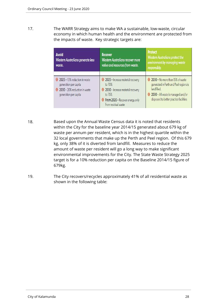17. The WARR Strategy aims to make WA a sustainable, low-waste, circular economy in which human health and the environment are protected from the impacts of waste. Key strategic targets are:

| Avoid<br>Western Australians generate less<br>waste.                                                             | <b>Recover</b><br><b>Western Australians recover more</b><br>value and resources from waste.                                                                  | <b>Protect</b><br><b>Western Australians protect the</b><br>environment by managing waste<br>responsibly.                                                                 |  |  |  |
|------------------------------------------------------------------------------------------------------------------|---------------------------------------------------------------------------------------------------------------------------------------------------------------|---------------------------------------------------------------------------------------------------------------------------------------------------------------------------|--|--|--|
| 2025 - 10% reduction in waste<br>generation per capita<br>2030 - 20% reduction in waste<br>generation per capita | 2025 - Increase material recovery<br>to 70%<br>2030 - Increase material recovery<br>to 75%<br><b>O</b> From 2020 - Recover energy only<br>from residual waste | 2030 - No more than 15% of waste<br>generated in Perth and Peel regions is<br>landfilled.<br>2030 - All waste is managed and/or<br>disposed to better practice facilities |  |  |  |

- 18. Based upon the Annual Waste Census data it is noted that residents within the City for the baseline year 2014/15 generated about 679 kg of waste per annum per resident, which is in the highest quartile within the 32 local governments that make up the Perth and Peel region. Of this 679 kg, only 38% of it is diverted from landfill. Measures to reduce the amount of waste per resident will go a long way to make significant environmental improvements for the City. The State Waste Strategy 2025 target is for a 10% reduction per capita on the Baseline 2014/15 figure of 679kg.
- 19. The City recovers/recycles approximately 41% of all residential waste as shown in the following table: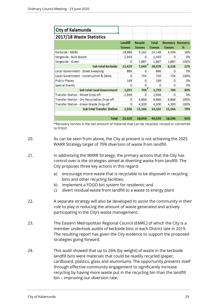| <b>City of Kalamunda</b>                    |                           |                          |                               |               |                               |
|---------------------------------------------|---------------------------|--------------------------|-------------------------------|---------------|-------------------------------|
| 2017/18 Waste Statistics                    |                           |                          |                               |               |                               |
|                                             | Landfill<br><b>Tonnes</b> | Recycle<br><b>Tonnes</b> | <b>Total</b><br><b>Tonnes</b> | <b>Tonnes</b> | <b>Recovery Recovery</b><br>% |
| Kerbside - MGBs                             | 18,986                    | 5,162                    | 24,148                        | 4,439         | 18%                           |
| Vergeside - Bulk Waste                      | 2,443                     | ٥                        | 2,443                         | o             | 0%                            |
| Vergeside - Green                           | ٥                         | 1,887                    | 1,887                         | 1,887         | 100%                          |
| Sub total Kerbside                          | 21,429                    | 7,049'                   | 28,478                        | 6,326         | 22%                           |
| Local Government - Street Sweeping          | 886                       | 0                        | 886                           | ٥             | 0%                            |
| Local Government - Construction & Demo      | o                         | 704                      | 704                           | 704           | 100%                          |
| <b>Public Places</b>                        | 169                       | o                        | 169                           | o             | 0%                            |
| <b>Special Events</b>                       | n                         | Ω                        | n                             | o             | 0%                            |
| <b>Sub total Local Government</b>           | 1,055                     | 704                      | 1,759                         | 704           | 40%                           |
| Transfer Station - Mixed Drop-off           | 2.936                     | ٥                        | 2.936                         | o             | 0%                            |
| Transfer Station - Dry Recyclables Drop-off | ٥                         | 6,866                    | 6,866                         | 6,866         | 100%                          |
| Transfer Station - Green Waste Drop-off     | ٥                         | 4,300                    | 4,300                         | 4,300         | 100%                          |
| <b>Sub total Transfer Station</b>           | 2,936                     | 11,166                   | 14,102                        | 11,166        | 79%                           |
|                                             |                           |                          |                               |               |                               |
| <b>Total</b>                                | 25,420                    | 18,919                   | 44,339                        | 18,196        | 41%                           |

\*Recovery tonnes is the net amount of material that can be recycled, reused or converted to FOGO

- 20. As can be seen from above, the City at present is not achieving the 2025 WARR Strategy target of 70% diversion of waste from landfill.
- 21. In addressing the WARR Strategy, the primary actions that the City has control over is the strategies aimed at diverting waste from landfill. The City proposes three key actions in this regard:
	- a) encourage more waste that is recyclable to be disposed in recycling bins and other recycling facilities;
	- b) implement a FOGO bin system for residents; and
	- c) divert residual waste from landfill to a waste to energy plant
- 22. A separate strategy will also be developed to assist the community in their role to play in reducing the amount of waste generated and actively participating in the City's waste management.
- 23. The Eastern Metropolitan Regional Council (EMRC) of which the City is a member undertook audits of kerbside bins in each District late in 2019. The resulting report has given the City evidence to support the proposed strategies going forward.
- 24. This audit showed that up to 26% (by weight) of waste in the kerbside landfill bins were materials that could be readily recycled (paper, cardboard, plastics, glass and aluminium). The opportunity presents itself through effective community engagement to significantly increase recycling by having more waste put in the recycling bin than the landfill bin – improving our diversion rate.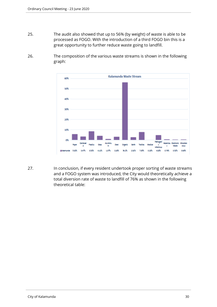- 25. The audit also showed that up to 56% (by weight) of waste is able to be processed as FOGO. With the introduction of a third FOGO bin this is a great opportunity to further reduce waste going to landfill.
- 26. The composition of the various waste streams is shown in the following graph:



27. In conclusion, if every resident undertook proper sorting of waste streams and a FOGO system was introduced, the City would theoretically achieve a total diversion rate of waste to landfill of 76% as shown in the following theoretical table: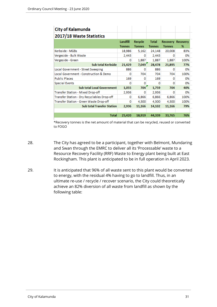| <b>City of Kalamunda</b>                    |                           |                          |                               |               |                               |
|---------------------------------------------|---------------------------|--------------------------|-------------------------------|---------------|-------------------------------|
| 2017/18 Waste Statistics                    |                           |                          |                               |               |                               |
|                                             | Landfill<br><b>Tonnes</b> | Recycle<br><b>Tonnes</b> | <b>Total</b><br><b>Tonnes</b> | <b>Tonnes</b> | <b>Recovery Recovery</b><br>% |
| Kerbside - MGBs                             | 18,986                    | 5,162                    | 24,148                        | 20,008        | 83%                           |
| Vergeside - Bulk Waste                      | 2,443                     | o                        | 2,443                         | o             | 0%                            |
| Vergeside - Green                           | 0                         | 1,887                    | 1,887                         | 1,887         | 100%                          |
| <b>Sub total Kerbside</b>                   | 21,429                    | 7,049'                   | 28,478                        | 21,895        | 77%                           |
| Local Government - Street Sweeping          | 886                       | 0                        | 886                           | o             | 0%                            |
| Local Government - Construction & Demo      | o                         | 704                      | 704                           | 704           | 100%                          |
| <b>Public Places</b>                        | 169                       | o                        | 169                           | o             | 0%                            |
| <b>Special Events</b>                       | o                         | o                        | o                             | o             | 0%                            |
| <b>Sub total Local Government</b>           | 1,055                     | 704'                     | 1,759                         | 704           | 40%                           |
| Transfer Station - Mixed Drop-off           | 2,936                     | o                        | 2,936                         | 0             | 0%                            |
| Transfer Station - Dry Recyclables Drop-off | o                         | 6,866                    | 6,866                         | 6,866         | 100%                          |
| Transfer Station - Green Waste Drop-off     | o                         | 4,300                    | 4,300                         | 4,300         | 100%                          |
| <b>Sub total Transfer Station</b>           | 2,936                     | 11,166                   | 14,102                        | 11,166        | 79%                           |
|                                             |                           |                          |                               |               |                               |
| <b>Total</b>                                | 25,420                    | 18,919                   | 44,339                        | 33,765        | 76%                           |
|                                             |                           |                          |                               |               |                               |

\*Recovery tonnes is the net amount of material that can be recycled, reused or converted to FOGO

- 28. The City has agreed to be a participant, together with Belmont, Mundaring and Swan through the EMRC to deliver all its 'Processable' waste to a Resource Recovery Facility (RRF) Waste to Energy plant being built at East Rockingham. This plant is anticipated to be in full operation in April 2023.
- 29. It is anticipated that 96% of all waste sent to this plant would be converted to energy, with the residual 4% having to go to landfill. Thus, in an ultimate re-use / recycle / recover scenario, the City could theoretically achieve an 82% diversion of all waste from landfill as shown by the following table: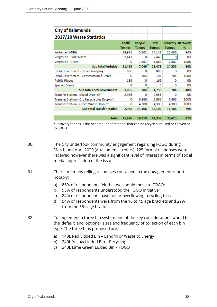| <b>City of Kalamunda</b>                    |               |               |               |               |                          |
|---------------------------------------------|---------------|---------------|---------------|---------------|--------------------------|
| 2017/18 Waste Statistics                    |               |               |               |               |                          |
|                                             | Landfill      | Recycle       | <b>Total</b>  |               | <b>Recovery Recovery</b> |
|                                             | <b>Tonnes</b> | <b>Tonnes</b> | <b>Tonnes</b> | <b>Tonnes</b> | %                        |
| Kerbside - MGBs                             | 18,986        | 5,162         | 24,148        | 22,666        | 94%                      |
| Vergeside - Bulk Waste                      | 2,443         | o             | 2,443         | 0             | 0%                       |
| Vergeside - Green                           | 0             | 1,887         | 1,887         | 1,887         | 100%                     |
| Sub total Kerbside                          | 21,429        | 7,049'        | 28,478        | 24,553        | 86%                      |
| Local Government - Street Sweeping          | 886           | 0             | 886           | o             | 0%                       |
| Local Government - Construction & Demo      | o             | 704           | 704           | 704           | 100%                     |
| <b>Public Places</b>                        | 169           | o             | 169           | o             | 0%                       |
| <b>Special Events</b>                       | o             | o             | o             | o             | 0%                       |
| <b>Sub total Local Government</b>           | 1,055         | 704           | 1,759         | 704           | 40%                      |
| Transfer Station - Mixed Drop-off           | 2.936         | o             | 2,936         | o             | 0%                       |
| Transfer Station - Dry Recyclables Drop-off | ٥             | 6,866         | 6,866         | 6,866         | 100%                     |
| Transfer Station - Green Waste Drop-off     | ٥             | 4,300         | 4,300         | 4,300         | 100%                     |
| <b>Sub total Transfer Station</b>           | 2,936         | 11,166        | 14,102        | 11,166        | 79%                      |
|                                             |               |               |               |               |                          |
| <b>Total</b>                                | 25,420        | 18,919        | 44,339        | 36,423        | 82%                      |

\*Recovery tonnes is the net amount of material that can be recycled, reused or converted to FOGO

- 30. The City undertook community engagement regarding FOGO during March and April 2020 (Attachment 1 refers). 125 formal responses were received however there was a significant level of interest in terms of social media appreciation of the issue.
- 31. There are many telling responses contained in the engagement report notably:
	- a) 86% of respondents felt that we should move to FOGO;
	- b) 98% of respondents understood the FOGO initiative;
	- c) 84% of respondents have full or overflowing recycling bins;
	- d) 54% of respondents were from the 16 to 45 age brackets and 29% from the 56+ age bracket.
- 32. To implement a three bin system one of the key considerations would be the 'default' and 'optional' sizes and frequency of collection of each bin type. The three bins proposed are:
	- a) 140L Red Lidded Bin Landfill or Waste to Energy
	- b) 240L Yellow Lidded Bin Recycling
	- c) 240L Lime Green Lidded Bin FOGO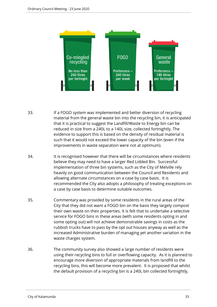

- 33. If a FOGO system was implemented and better diversion of recycling material from the general waste bin into the recycling bin, it is anticipated that it is practical to suggest the Landfill/Waste to Energy bin can be reduced in size from a 240L to a 140L size, collected fortnightly. The evidence to support this is based on the density of residual material is such that it would not exceed the lower capacity of the bin (even if the improvements in waste separation were not at optimum).
- 34. It is recognised however that there will be circumstances where residents believe they may need to have a larger Red Lidded Bin. Successful implementation of three bin systems, such as the City of Melville rely heavily on good communication between the Council and Residents and allowing alternate circumstances on a case by case basis. It is recommended the City also adopts a philosophy of treating exceptions on a case by case basis to determine suitable outcomes.
- 35. Commentary was provided by some residents in the rural areas of the City that they did not want a FOGO bin on the basis they largely compost their own waste on their properties. It is felt that to undertake a selective service for FOGO bins in these areas (with some residents opting in and some opting out) will not achieve demonstrable savings in costs as the rubbish trucks have to pass by the opt out houses anyway as well as the increased Administrative burden of managing yet another variation in the waste charges system.
- 36. The community survey also showed a large number of residents were using their recycling bins to full or overflowing capacity. As it is planned to encourage more diversion of appropriate materials from landfill to the recycling bins, this will become more prevalent. It is proposed that whilst the default provision of a recycling bin is a 240L bin collected fortnightly,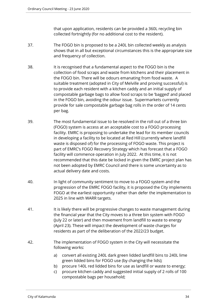that upon application, residents can be provided a 360L recycling bin collected fortnightly (for no additional cost to the resident).

- 37. The FOGO bin is proposed to be a 240L bin collected weekly as analysis shows that in all but exceptional circumstances this is the appropriate size and frequency of collection.
- 38. It is recognised that a fundamental aspect to the FOGO bin is the collection of food scraps and waste from kitchens and their placement in the FOGO bin. There will be odours emanating from food waste. A suitable treatment (adopted in City of Melville and proving successful) is to provide each resident with a kitchen caddy and an initial supply of compostable garbage bags to allow food scraps to be 'bagged' and placed in the FOGO bin, avoiding the odour issue. Supermarkets currently provide for sale compostable garbage bag rolls in the order of 14 cents per bag.
- 39. The most fundamental issue to be resolved in the roll out of a three bin (FOGO) system is access at an acceptable cost to a FOGO processing facility. EMRC is proposing to undertake the lead for its member councils in developing a facility to be located at Red Hill (currently where landfill waste is disposed of) for the processing of FOGO waste. This project is part of EMRC's FOGO Recovery Strategy which has forecast that a FOGO facility will commence operation in July 2022. At this time, it is not recommended that this date be locked in given the EMRC project plan has not been adopted by EMRC Council and there is some uncertainty as to actual delivery date and costs.
- 40. In light of community sentiment to move to a FOGO system and the progression of the EMRC FOGO facility, it is proposed the City implements FOGO at the earliest opportunity rather than defer the implementation to 2025 in line with WARR targets.
- 41. It is likely there will be progressive changes to waste management during the financial year that the City moves to a three bin system with FOGO (July 22 or later) and then movement from landfill to waste to energy (April 23). These will impact the development of waste charges for residents as part of the deliberation of the 2022/23 budget.
- 42. The implementation of FOGO system in the City will necessitate the following works:
	- a) convert all existing 240L dark green lidded landfill bins to 240L lime green lidded bins for FOGO use (by changing the lids);
	- b) procure 140L red lidded bins for use as landfill or waste to energy;
	- c) procure kitchen caddy and suggested initial supply of 2 rolls of 100 compostable bags per household;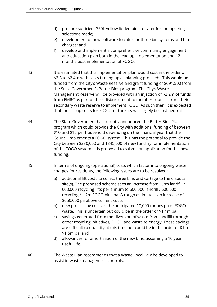- d) procure sufficient 360L yellow lidded bins to cater for the upsizing selections made;
- e) development of new software to cater for three bin systems and bin charges; and
- f) develop and implement a comprehensive community engagement and education plan both in the lead up, implementation and 12 months post implementation of FOGO.
- 43. It is estimated that this implementation plan would cost in the order of \$2.3 to \$2.4m with costs firming up as planning proceeds. This would be funded from the City's Waste Reserve and grant funding of \$691,500 from the State Government's Better Bins program. The City's Waste Management Reserve will be provided with an injection of \$2.2m of funds from EMRC as part of their disbursement to member councils from their secondary waste reserve to implement FOGO. As such then, it is expected that the set-up costs for FOGO for the City will largely be cost neutral.
- 44. The State Government has recently announced the Better Bins Plus program which could provide the City with additional funding of between \$10 and \$15 per household depending on the financial year that the Council implements a FOGO system. This has the potential to provide the City between \$230,000 and \$345,000 of new funding for implementation of the FOGO system. It is proposed to submit an application for this new funding.
- 45. In terms of ongoing (operational) costs which factor into ongoing waste charges for residents, the following issues are to be resolved:
	- a) additional lift costs to collect three bins and cartage to the disposal site(s). The proposed scheme sees an increase from 1.2m landfill / 600,000 recycling lifts per annum to 600,000 landfill / 600,000 recycling / 1.2m FOGO bins pa. A rough estimate is an increase of \$650,000 pa above current costs;
	- b) new processing costs of the anticipated 10,000 tonnes pa of FOGO waste. This is uncertain but could be in the order of \$1.4m pa;
	- c) savings generated from the diversion of waste from landfill through either recycling initiatives, FOGO and waste to energy. These savings are difficult to quantify at this time but could be in the order of \$1 to \$1.5m pa; and
	- d) allowances for amortisation of the new bins, assuming a 10 year useful life.
- 46. The Waste Plan recommends that a Waste Local Law be developed to assist in waste management controls.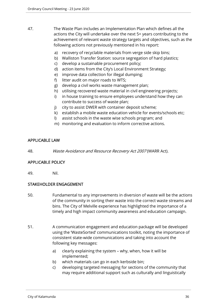- 47. The Waste Plan includes an Implementation Plan which defines all the actions the City will undertake over the next 5+ years contributing to the achievement of relevant waste strategy targets and objectives, such as the following actions not previously mentioned in his report:
	- a) recovery of recyclable materials from verge side skip bins;
	- b) Walliston Transfer Station: source segregation of hard plastics;
	- c) develop a sustainable procurement policy;
	- d) action items from the City's Local Environment Strategy;
	- e) improve data collection for illegal dumping;
	- f) litter audit on major roads to WTS;
	- g) develop a civil works waste management plan;
	- h) utilising recovered waste material in civil engineering projects;
	- i) in house training to ensure employees understand how they can contribute to success of waste plan;
	- j) city to assist DWER with container deposit scheme;
	- k) establish a mobile waste education vehicle for events/schools etc;
	- l) assist schools in the waste wise schools program; and
	- m) monitoring and evaluation to inform corrective actions.

# APPLICABLE LAW

48. Waste Avoidance and Resource Recovery Act 2007 (WARR Act).

# APPLICABLE POLICY

49. Nil.

# STAKEHOLDER ENGAGEMENT

- 50. Fundamental to any improvements in diversion of waste will be the actions of the community in sorting their waste into the correct waste streams and bins. The City of Melville experience has highlighted the importance of a timely and high impact community awareness and education campaign.
- 51. A communication engagement and education package will be developed using the 'WasteSorted' communications toolkit, noting the importance of consistent state-wide communications and taking into account the following key messages:
	- a) clearly explaining the system why, when, how it will be implemented;
	- b) which materials can go in each kerbside bin;
	- c) developing targeted messaging for sections of the community that may require additional support such as culturally and linguistically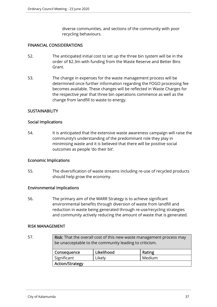diverse communities, and sections of the community with poor recycling behaviours.

#### FINANCIAL CONSIDERATIONS

- 52. The anticipated initial cost to set up the three bin system will be in the order of \$2.3m with funding from the Waste Reserve and Better Bins Grant.
- 53. The change in expenses for the waste management process will be determined once further information regarding the FOGO processing fee becomes available. These changes will be reflected in Waste Charges for the respective year that three bin operations commence as well as the change from landfill to waste to energy.

## **SUSTAINABILITY**

#### Social Implications

54. It is anticipated that the extensive waste awareness campaign will raise the community's understanding of the predominant role they play in minimising waste and it is believed that there will be positive social outcomes as people 'do their bit'.

#### Economic Implications

55. The diversification of waste streams including re-use of recycled products should help grow the economy.

#### Environmental Implications

56. The primary aim of the WARR Strategy is to achieve significant environmental benefits through diversion of waste from landfill and reduction in waste being generated through re-use/recycling strategies and community actively reducing the amount of waste that is generated.

#### RISK MANAGEMENT

57. Risk: That the overall cost of this new waste management process may be unacceptable to the community leading to criticism.

| Consequence            | Likelihood | Rating |
|------------------------|------------|--------|
| Significant            | Likely     | Medium |
| <b>Action/Strategy</b> |            |        |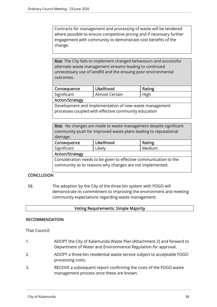Contracts for management and processing of waste will be tendered where possible to ensure competitive pricing and if necessary further engagement with community to demonstrate cost benefits of the change.

Risk: The City fails to implement changed behaviours and successful alternate waste management streams leading to continued unnecessary use of landfill and the ensuing poor environmental outcomes.

| Consequence | Likelihood     | Rating |
|-------------|----------------|--------|
| Significant | Almost Certain | High   |
|             |                |        |

#### Action/Strategy

Development and implementation of new waste management processes coupled with effective community education

| Risk: No changes are made to waste management despite significant |
|-------------------------------------------------------------------|
| community push for improved waste plans leading to reputational   |
| damage.                                                           |
|                                                                   |

| Likelihood<br>Consequence                                         |  | Rating |
|-------------------------------------------------------------------|--|--------|
| Significant<br>Likely                                             |  | Medium |
| <b>Action/Strategy</b>                                            |  |        |
| Consideration needs to be given to effective communication to the |  |        |
| community as to reasons why changes are not implemented.          |  |        |

# **CONCLUSION**

58. The adoption by the City of the three bin system with FOGO will demonstrate its commitment to improving the environment and meeting community expectations regarding waste management.

## Voting Requirements: Simple Majority

## RECOMMENDATION

That Council:

- 1. ADOPT the City of Kalamunda Waste Plan (Attachment 2) and forward to Department of Water and Environmental Regulation for approval.
- 2. ADOPT a three-bin residential waste service subject to acceptable FOGO processing costs.
- 3. RECEIVE a subsequent report confirming the costs of the FOGO waste management process once these are known.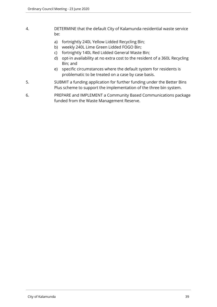- 4. DETERMINE that the default City of Kalamunda residential waste service be:
	- a) fortnightly 240L Yellow Lidded Recycling Bin;
	- b) weekly 240L Lime Green Lidded FOGO Bin;
	- c) fortnightly 140L Red Lidded General Waste Bin;
	- d) opt-in availability at no extra cost to the resident of a 360L Recycling Bin; and
	- e) specific circumstances where the default system for residents is problematic to be treated on a case by case basis.
- 5. SUBMIT a funding application for further funding under the Better Bins Plus scheme to support the implementation of the three bin system.
- 6. PREPARE and IMPLEMENT a Community Based Communications package funded from the Waste Management Reserve.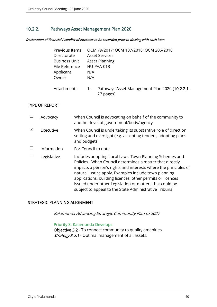# 10.2.2. Pathways Asset Management Plan 2020

#### Declaration of financial / conflict of interests to be recorded prior to dealing with each item.

| Previous Items       | OCM 79/2017; OCM 107/2018; OCM 206/2018                                          |
|----------------------|----------------------------------------------------------------------------------|
| Directorate          | <b>Asset Services</b>                                                            |
| <b>Business Unit</b> | <b>Asset Planning</b>                                                            |
| File Reference       | <b>HU-PAA-013</b>                                                                |
| Applicant            | N/A                                                                              |
| Owner                | N/A                                                                              |
| Attachments          | Pathways Asset Management Plan 2020 [10.2.2.1 -<br>$\overline{1}$ .<br>27 pages] |

#### TYPE OF REPORT

|   | Advocacy    | When Council is advocating on behalf of the community to<br>another level of government/body/agency                                                                                                                                                                                                                                                                                                                                |
|---|-------------|------------------------------------------------------------------------------------------------------------------------------------------------------------------------------------------------------------------------------------------------------------------------------------------------------------------------------------------------------------------------------------------------------------------------------------|
| ☑ | Executive   | When Council is undertaking its substantive role of direction<br>setting and oversight (e.g. accepting tenders, adopting plans<br>and budgets                                                                                                                                                                                                                                                                                      |
|   | Information | For Council to note                                                                                                                                                                                                                                                                                                                                                                                                                |
|   | Legislative | Includes adopting Local Laws, Town Planning Schemes and<br>Policies. When Council determines a matter that directly<br>impacts a person's rights and interests where the principles of<br>natural justice apply. Examples include town planning<br>applications, building licences, other permits or licences<br>issued under other Legislation or matters that could be<br>subject to appeal to the State Administrative Tribunal |

# STRATEGIC PLANNING ALIGNMENT

Kalamunda Advancing Strategic Community Plan to 2027

## Priority 3: Kalamunda Develops

Objective 3.2 - To connect community to quality amenities. Strategy 3.2.1 - Optimal management of all assets.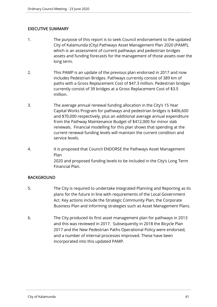## EXECUTIVE SUMMARY

- 1. The purpose of this report is to seek Council endorsement to the updated City of Kalamunda (City) Pathways Asset Management Plan 2020 (PAMP), which is an assessment of current pathways and pedestrian bridges assets and funding forecasts for the management of those assets over the long term.
- 2. This PAMP is an update of the previous plan endorsed in 2017 and now includes Pedestrian Bridges. Pathways currently consist of 389 km of paths with a Gross Replacement Cost of \$47.3 million. Pedestrian bridges currently consist of 39 bridges at a Gross Replacement Cost of \$3.5 million.
- 3. The average annual renewal funding allocation in the City's 15 Year Capital Works Program for pathways and pedestrian bridges is \$406,600 and \$70,000 respectively, plus an additional average annual expenditure from the Pathway Maintenance Budget of \$412,000 for minor slab renewals. Financial modelling for this plan shows that spending at the current renewal funding levels will maintain the current condition and service levels.
- 4. It is proposed that Council ENDORSE the Pathways Asset Management Plan 2020 and proposed funding levels to be included in the City's Long Term Financial Plan.

## **BACKGROUND**

- 5. The City is required to undertake Integrated Planning and Reporting as its plans for the future in line with requirements of the Local Government Act. Key actions include the Strategic Community Plan, the Corporate Business Plan and informing strategies such as Asset Management Plans.
- 6. The City produced its first asset management plan for pathways in 2013 and this was reviewed in 2017. Subsequently in 2018 the Bicycle Plan 2017 and the New Pedestrian Paths Operational Policy were endorsed, and a number of internal processes improved. These have been incorporated into this updated PAMP.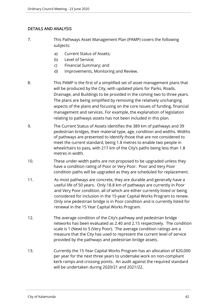# DETAILS AND ANALYSIS

- 7. This Pathways Asset Management Plan (PAMP) covers the following subjects:
	- a) Current Status of Assets;
	- b) Level of Service;
	- c) Financial Summary; and
	- d) Improvements, Monitoring and Review.
- 8. This PAMP is the first of a simplified set of asset management plans that will be produced by the City, with updated plans for Parks, Roads, Drainage, and Buildings to be provided in the coming two to three years. The plans are being simplified by removing the relatively unchanging aspects of the plans and focusing on the core issues of funding, financial management and services. For example, the explanation of legislation relating to pathways assets has not been included in this plan.
- 9. The Current Status of Assets identifies the 389 km of pathways and 39 pedestrian bridges, their material type, age, condition and widths. Widths of pathways are presented to identify those that are not considered to meet the current standard, being 1.8 metres to enable two people in wheelchairs to pass, with 217 km of the City's paths being less than 1.8 metres in width.
- 10. These under-width paths are not proposed to be upgraded unless they have a condition rating of Poor or Very Poor. Poor and Very Poor condition paths will be upgraded as they are scheduled for replacement.
- 11. As most pathways are concrete, they are durable and generally have a useful life of 50 years. Only 18.8 km of pathways are currently in Poor and Very Poor condition, all of which are either currently listed or being considered for inclusion in the 15-year Capital Works Program to renew. Only one pedestrian bridge is in Poor condition and is currently listed for renewal in the 15 Year Capital Works Program.
- 12. The average condition of the City's pathway and pedestrian bridge networks has been evaluated as 2.40 and 2.15 respectively. The condition scale is 1 (New) to 5 (Very Poor). The average condition ratings are a measure that the City has used to represent the current level of service provided by the pathways and pedestrian bridge assets.
- 13. Currently the 15 Year Capital Works Program has an allocation of \$20,000 per year for the next three years to undertake work on non-compliant kerb ramps and crossing points. An audit against the required standard will be undertaken during 2020/21 and 2021/22.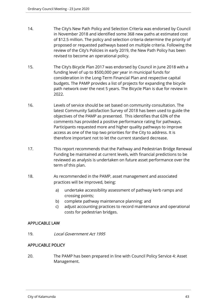- 14. The City's New Path Policy and Selection Criteria was endorsed by Council in November 2018 and identified some 368 new paths at estimated cost of \$12.5 million. The policy and selection criteria determine the priority of proposed or requested pathways based on multiple criteria. Following the review of the City's Policies in early 2019, the New Path Policy has been revised to become an operational policy.
- 15. The City's Bicycle Plan 2017 was endorsed by Council in June 2018 with a funding level of up to \$500,000 per year in municipal funds for consideration in the Long-Term Financial Plan and respective capital budgets. The PAMP provides a list of projects for expanding the bicycle path network over the next 5 years. The Bicycle Plan is due for review in 2022.
- 16. Levels of service should be set based on community consultation. The latest Community Satisfaction Survey of 2018 has been used to guide the objectives of the PAMP as presented. This identifies that 63% of the comments has provided a positive performance rating for pathways. Participants requested more and higher quality pathways to improve access as one of the top two priorities for the City to address. It is therefore important not to let the current standard decrease.
- 17. This report recommends that the Pathway and Pedestrian Bridge Renewal Funding be maintained at current levels, with financial predictions to be reviewed as analysis is undertaken on future asset performance over the term of this plan.
- 18. As recommended in the PAMP, asset management and associated practices will be improved, being:
	- a) undertake accessibility assessment of pathway kerb ramps and crossing points;
	- b) complete pathway maintenance planning; and
	- c) adjust accounting practices to record maintenance and operational costs for pedestrian bridges.

# APPLICABLE LAW

19. Local Government Act 1995

# APPLICABLE POLICY

20. The PAMP has been prepared in line with Council Policy Service 4: Asset Management.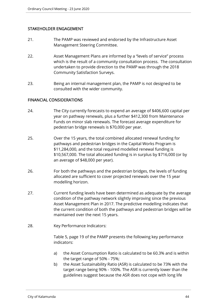# STAKEHOLDER ENGAGEMENT

- 21. The PAMP was reviewed and endorsed by the Infrastructure Asset Management Steering Committee.
- 22. Asset Management Plans are informed by a "levels of service" process which is the result of a community consultation process. The consultation undertaken to provide direction to the PAMP was through the 2018 Community Satisfaction Surveys.
- 23. Being an internal management plan, the PAMP is not designed to be consulted with the wider community.

## FINANCIAL CONSIDERATIONS

- 24. The City currently forecasts to expend an average of \$406,600 capital per year on pathway renewals, plus a further \$412,300 from Maintenance Funds on minor slab renewals. The forecast average expenditure for pedestrian bridge renewals is \$70,000 per year.
- 25. Over the 15 years, the total combined allocated renewal funding for pathways and pedestrian bridges in the Capital Works Program is \$11,284,000, and the total required modelled renewal funding is \$10,567,000. The total allocated funding is in surplus by \$716,000 (or by an average of \$48,000 per year).
- 26. For both the pathways and the pedestrian bridges, the levels of funding allocated are sufficient to cover projected renewals over the 15 year modelling horizon.
- 27. Current funding levels have been determined as adequate by the average condition of the pathway network slightly improving since the previous Asset Management Plan in 2017. The predictive modelling indicates that the current condition of both the pathways and pedestrian bridges will be maintained over the next 15 years.
- 28. Key Performance Indicators:

Table 5, page 19 of the PAMP presents the following key performance indicators:

- a) the Asset Consumption Ratio is calculated to be 60.3% and is within the target range of 50% - 75%;
- b) the Asset Sustainability Ratio (ASR) is calculated to be 73% with the target range being 90% - 100%. The ASR is currently lower than the guidelines suggest because the ASR does not cope with long life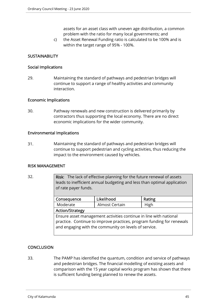assets for an asset class with uneven age distribution, a common problem with the ratio for many local governments; and

c) the Asset Renewal Funding ratio is calculated to be 100% and is within the target range of 95% - 100%.

# **SUSTAINABILITY**

#### Social Implications

29. Maintaining the standard of pathways and pedestrian bridges will continue to support a range of healthy activities and community interaction.

#### Economic Implications

30. Pathway renewals and new construction is delivered primarily by contractors thus supporting the local economy. There are no direct economic implications for the wider community.

#### Environmental Implications

31. Maintaining the standard of pathways and pedestrian bridges will continue to support pedestrian and cycling activities, thus reducing the impact to the environment caused by vehicles.

## RISK MANAGEMENT

32. Risk: The lack of effective planning for the future renewal of assets leads to inefficient annual budgeting and less than optimal application of rate payer funds.

| Likelihood<br>Consequence                                                                                                                                                                           |  | Rating |
|-----------------------------------------------------------------------------------------------------------------------------------------------------------------------------------------------------|--|--------|
| Moderate<br>Almost Certain                                                                                                                                                                          |  | High   |
| <b>Action/Strategy</b>                                                                                                                                                                              |  |        |
| Ensure asset management activities continue in line with national<br>practice. Continue to improve practices, program funding for renewals<br>and engaging with the community on levels of service. |  |        |
|                                                                                                                                                                                                     |  |        |

## **CONCLUSION**

33. The PAMP has identified the quantum, condition and service of pathways and pedestrian bridges. The financial modelling of existing assets and comparison with the 15 year capital works program has shown that there is sufficient funding being planned to renew the assets.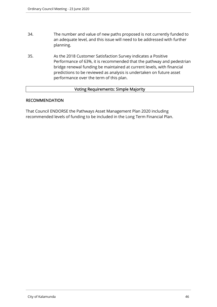- 34. The number and value of new paths proposed is not currently funded to an adequate level, and this issue will need to be addressed with further planning.
- 35. As the 2018 Customer Satisfaction Survey indicates a Positive Performance of 63%, it is recommended that the pathway and pedestrian bridge renewal funding be maintained at current levels, with financial predictions to be reviewed as analysis is undertaken on future asset performance over the term of this plan.

## Voting Requirements: Simple Majority

#### RECOMMENDATION

That Council ENDORSE the Pathways Asset Management Plan 2020 including recommended levels of funding to be included in the Long Term Financial Plan.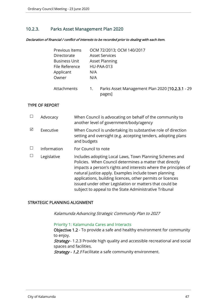# 10.2.3. Parks Asset Management Plan 2020

Declaration of financial / conflict of interests to be recorded prior to dealing with each item.

| Previous Items       | OCM 72/2013; OCM 140/2017                                       |
|----------------------|-----------------------------------------------------------------|
| Directorate          | <b>Asset Services</b>                                           |
| <b>Business Unit</b> | <b>Asset Planning</b>                                           |
| File Reference       | <b>HU-PAA-013</b>                                               |
| Applicant            | N/A                                                             |
| Owner                | N/A                                                             |
| Attachments          | Parks Asset Management Plan 2020 [10.2.3.1 - 29<br>1.<br>pages] |

#### TYPE OF REPORT

|   | Advocacy    | When Council is advocating on behalf of the community to<br>another level of government/body/agency                                                                                                                                                                                                                                                                                                                                |
|---|-------------|------------------------------------------------------------------------------------------------------------------------------------------------------------------------------------------------------------------------------------------------------------------------------------------------------------------------------------------------------------------------------------------------------------------------------------|
| ☑ | Executive   | When Council is undertaking its substantive role of direction<br>setting and oversight (e.g. accepting tenders, adopting plans<br>and budgets                                                                                                                                                                                                                                                                                      |
|   | Information | For Council to note                                                                                                                                                                                                                                                                                                                                                                                                                |
|   | Legislative | Includes adopting Local Laws, Town Planning Schemes and<br>Policies. When Council determines a matter that directly<br>impacts a person's rights and interests where the principles of<br>natural justice apply. Examples include town planning<br>applications, building licences, other permits or licences<br>issued under other Legislation or matters that could be<br>subject to appeal to the State Administrative Tribunal |

# STRATEGIC PLANNING ALIGNMENT

Kalamunda Advancing Strategic Community Plan to 2027

#### Priority 1: Kalamunda Cares and Interacts

Objective 1.2 - To provide a safe and healthy environment for community to enjoy.

Strategy - 1.2.3 Provide high quality and accessible recreational and social spaces and facilities.

Strategy - 1.2.1 Facilitate a safe community environment.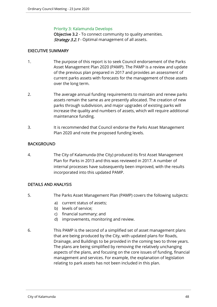#### Priority 3: Kalamunda Develops

Objective 3.2 - To connect community to quality amenities. Strategy 3.2.1 - Optimal management of all assets.

## EXECUTIVE SUMMARY

- 1. The purpose of this report is to seek Council endorsement of the Parks Asset Management Plan 2020 (PAMP). The PAMP is a review and update of the previous plan prepared in 2017 and provides an assessment of current parks assets with forecasts for the management of those assets over the long term.
- 2. The average annual funding requirements to maintain and renew parks assets remain the same as are presently allocated. The creation of new parks through subdivision, and major upgrades of existing parks will increase the quality and numbers of assets, which will require additional maintenance funding.
- 3. It is recommended that Council endorse the Parks Asset Management Plan 2020 and note the proposed funding levels.

# BACKGROUND

4. The City of Kalamunda (the City) produced its first Asset Management Plan for Parks in 2013 and this was reviewed in 2017. A number of internal processes have subsequently been improved, with the results incorporated into this updated PAMP.

# DETAILS AND ANALYSIS

- 5. The Parks Asset Management Plan (PAMP) covers the following subjects:
	- a) current status of assets;
	- b) levels of service;
	- c) financial summary; and
	- d) improvements, monitoring and review.
- 6. This PAMP is the second of a simplified set of asset management plans that are being produced by the City, with updated plans for Roads, Drainage, and Buildings to be provided in the coming two to three years. The plans are being simplified by removing the relatively unchanging aspects of the plans, and focusing on the core issues of funding, financial management and services. For example, the explanation of legislation relating to park assets has not been included in this plan.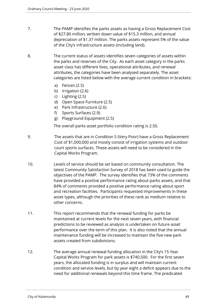- 7. The PAMP identifies the parks assets as having a Gross Replacement Cost of \$27.80 million, written down value of \$15.3 million, and annual depreciation of \$1.37 million. The parks assets represent 5% of the value of the City's infrastructure assets (including land).
- 8. The current status of assets identifies seven categories of assets within the parks and reserves of the City. As each asset category in the parks asset class has different lives, operational attributes, and renewal attributes, the categories have been analysed separately. The asset categories are listed below with the average current condition in brackets:
	- a) Fences (2.5)
	- b) Irrigation (2.6)
	- c) Lighting (2.5)
	- d) Open Space Furniture (2.5)
	- e) Park Infrastructure (2.6)
	- f) Sports Surfaces (2.9)
	- g) Playground Equipment (2.5)

The overall parks asset portfolio condition rating is 2.50.

- 9. The assets that are in Condition 5 (Very Poor) have a Gross Replacement Cost of \$1,000,000 and mostly consist of irrigation systems and outdoor court sports surfaces. These assets will need to be considered in the Capital Works Program.
- 10. Levels of service should be set based on community consultation. The latest Community Satisfaction Survey of 2018 has been used to guide the objectives of the PAMP. The survey identifies that 73% of the comments have provided a positive performance rating about parks assets, and that 84% of comments provided a positive performance rating about sport and recreation facilities. Participants requested improvements in these asset types, although the priorities of these rank as medium relative to other concerns.
- 11. This report recommends that the renewal funding for parks be maintained at current levels for the next seven years, with financial predictions to be reviewed as analysis is undertaken on future asset performance over the term of this plan. It is also noted that the annual maintenance funding will be increased to maintain the five new park assets created from subdivisions.
- 12. The average annual renewal funding allocation in the City's 15 Year Capital Works Program for park assets is \$740,500. For the first seven years, the allocated funding is in surplus and will maintain current condition and service levels, but by year eight a deficit appears due to the need for additional renewals beyond this time frame. The predicated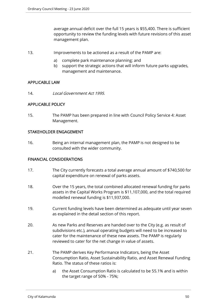average annual deficit over the full 15 years is \$55,400. There is sufficient opportunity to review the funding levels with future revisions of this asset management plan.

- 13. Improvements to be actioned as a result of the PAMP are:
	- a) complete park maintenance planning; and
	- b) support the strategic actions that will inform future parks upgrades, management and maintenance.

# APPLICABLE LAW

14. Local Government Act 1995.

# APPLICABLE POLICY

15. The PAMP has been prepared in line with Council Policy Service 4: Asset Management.

## STAKEHOLDER ENGAGEMENT

16. Being an internal management plan, the PAMP is not designed to be consulted with the wider community.

## FINANCIAL CONSIDERATIONS

- 17. The City currently forecasts a total average annual amount of \$740,500 for capital expenditure on renewal of parks assets.
- 18. Over the 15 years, the total combined allocated renewal funding for parks assets in the Capital Works Program is \$11,107,000, and the total required modelled renewal funding is \$11,937,000.
- 19. Current funding levels have been determined as adequate until year seven as explained in the detail section of this report.
- 20. As new Parks and Reserves are handed over to the City (e.g. as result of subdivisions etc.), annual operating budgets will need to be increased to cater for the maintenance of these new assets. The PAMP is regularly reviewed to cater for the net change in value of assets.
- 21. The PAMP derives Key Performance Indicators, being the Asset Consumption Ratio, Asset Sustainability Ratio, and Asset Renewal Funding Ratio. The status of these ratios is:
	- a) the Asset Consumption Ratio is calculated to be 55.1% and is within the target range of 50% - 75%;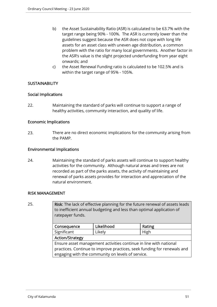- b) the Asset Sustainability Ratio (ASR) is calculated to be 63.7% with the target range being 90% - 100%. The ASR is currently lower than the guidelines suggest because the ASR does not cope with long life assets for an asset class with uneven age distribution, a common problem with the ratio for many local governments. Another factor in the ASR's value is the slight projected underfunding from year eight onwards; and
- c) the Asset Renewal Funding ratio is calculated to be 102.5% and is within the target range of 95% - 105%.

# **SUSTAINABILITY**

## Social Implications

22. Maintaining the standard of parks will continue to support a range of healthy activities, community interaction, and quality of life.

#### Economic Implications

23. There are no direct economic implications for the community arising from the PAMP.

#### Environmental Implications

24. Maintaining the standard of parks assets will continue to support healthy activities for the community. Although natural areas and trees are not recorded as part of the parks assets, the activity of maintaining and renewal of parks assets provides for interaction and appreciation of the natural environment.

#### RISK MANAGEMENT

| 25. | Risk: The lack of effective planning for the future renewal of assets leads<br>to inefficient annual budgeting and less than optimal application of<br>ratepayer funds. |            |        |
|-----|-------------------------------------------------------------------------------------------------------------------------------------------------------------------------|------------|--------|
|     | Consequence                                                                                                                                                             | Likelihood | Rating |
|     | Significant                                                                                                                                                             | Likely     | High   |
|     | <b>Action/Strategy</b>                                                                                                                                                  |            |        |
|     | Ensure asset management activities continue in line with national                                                                                                       |            |        |
|     | practices. Continue to improve practices, seek funding for renewals and                                                                                                 |            |        |
|     | engaging with the community on levels of service.                                                                                                                       |            |        |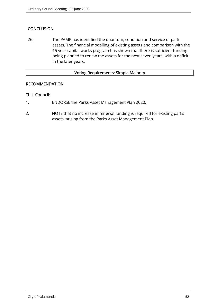# **CONCLUSION**

26. The PAMP has identified the quantum, condition and service of park assets. The financial modelling of existing assets and comparison with the 15 year capital works program has shown that there is sufficient funding being planned to renew the assets for the next seven years, with a deficit in the later years.

#### Voting Requirements: Simple Majority

## RECOMMENDATION

That Council:

- 1. ENDORSE the Parks Asset Management Plan 2020.
- 2. NOTE that no increase in renewal funding is required for existing parks assets, arising from the Parks Asset Management Plan.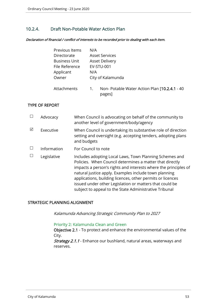# 10.2.4. Draft Non-Potable Water Action Plan

Declaration of financial / conflict of interests to be recorded prior to dealing with each item.

| Previous Items       | N/A                                                            |
|----------------------|----------------------------------------------------------------|
| Directorate          | <b>Asset Services</b>                                          |
| <b>Business Unit</b> | <b>Asset Delivery</b>                                          |
| File Reference       | <b>EV-STU-001</b>                                              |
| Applicant            | N/A                                                            |
| Owner                | City of Kalamunda                                              |
| Attachments          | Non- Potable Water Action Plan [10.2.4.1 - 40]<br>1.<br>pages] |

#### TYPE OF REPORT

|   | Advocacy    | When Council is advocating on behalf of the community to<br>another level of government/body/agency                                                                                                                                                                                                                                                                                                                                |
|---|-------------|------------------------------------------------------------------------------------------------------------------------------------------------------------------------------------------------------------------------------------------------------------------------------------------------------------------------------------------------------------------------------------------------------------------------------------|
| ☑ | Executive   | When Council is undertaking its substantive role of direction<br>setting and oversight (e.g. accepting tenders, adopting plans<br>and budgets                                                                                                                                                                                                                                                                                      |
|   | Information | For Council to note                                                                                                                                                                                                                                                                                                                                                                                                                |
|   | Legislative | Includes adopting Local Laws, Town Planning Schemes and<br>Policies. When Council determines a matter that directly<br>impacts a person's rights and interests where the principles of<br>natural justice apply. Examples include town planning<br>applications, building licences, other permits or licences<br>issued under other Legislation or matters that could be<br>subject to appeal to the State Administrative Tribunal |

# STRATEGIC PLANNING ALIGNMENT

Kalamunda Advancing Strategic Community Plan to 2027

#### Priority 2: Kalamunda Clean and Green

Objective 2.1 - To protect and enhance the environmental values of the City.

Strategy 2.1.1 - Enhance our bushland, natural areas, waterways and reserves.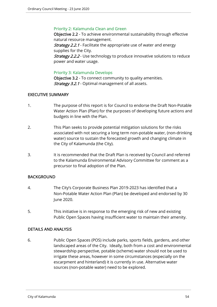## Priority 2: Kalamunda Clean and Green

Objective 2.2 - To achieve environmental sustainability through effective natural resource management.

**Strategy 2.2.1** - Facilitate the appropriate use of water and energy supplies for the City.

**Strategy 2.2.2** - Use technology to produce innovative solutions to reduce power and water usage.

#### Priority 3: Kalamunda Develops

Objective 3.2 - To connect community to quality amenities. **Strategy 3.2.1** - Optimal management of all assets.

## EXECUTIVE SUMMARY

- 1. The purpose of this report is for Council to endorse the Draft Non-Potable Water Action Plan (Plan) for the purposes of developing future actions and budgets in line with the Plan.
- 2. This Plan seeks to provide potential mitigation solutions for the risks associated with not securing a long term non-potable water, (non-drinking water) source to sustain the forecasted growth and changing climate in the City of Kalamunda (the City).
- 3. It is recommended that the Draft Plan is received by Council and referred to the Kalamunda Environmental Advisory Committee for comment as a precursor to final adoption of the Plan.

## BACKGROUND

- 4. The City's Corporate Business Plan 2019-2023 has identified that a Non-Potable Water Action Plan (Plan) be developed and endorsed by 30 June 2020.
- 5. This initiative is in response to the emerging risk of new and existing Public Open Spaces having insufficient water to maintain their amenity.

## DETAILS AND ANALYSIS

6. Public Open Spaces (POS) include parks, sports fields, gardens, and other landscaped areas of the City. Ideally, both from a cost and environmental stewardship perspective, potable (scheme) water should not be used to irrigate these areas, however in some circumstances (especially on the escarpment and hinterland) it is currently in use. Alternative water sources (non-potable water) need to be explored.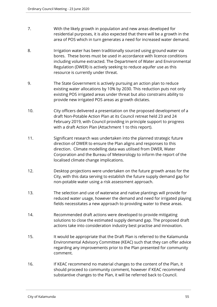- 7. With the likely growth in population and new areas developed for residential purposes, it is also expected that there will be a growth in the area of POS which in turn generates a need for increased water demand.
- 8. Irrigation water has been traditionally sourced using ground water via bores. These bores must be used in accordance with licence conditions including volume extracted. The Department of Water and Environmental Regulation (DWER) is actively seeking to reduce aquifer use as this resource is currently under threat.
- 9. The State Government is actively pursuing an action plan to reduce existing water allocations by 10% by 2030. This reduction puts not only existing POS irrigated areas under threat but also constrains ability to provide new irrigated POS areas as growth dictates.
- 10. City officers delivered a presentation on the proposed development of a draft Non-Potable Action Plan at its Council retreat held 23 and 24 February 2019, with Council providing in principle support to progress with a draft Action Plan (Attachment 1 to this report).
- 11. Significant research was undertaken into the planned strategic future direction of DWER to ensure the Plan aligns and responses to this direction. Climate modelling data was utilised from DWER, Water Corporation and the Bureau of Meteorology to inform the report of the localised climate change implications.
- 12. Desktop projections were undertaken on the future growth areas for the City, with this data serving to establish the future supply demand gap for non-potable water using a risk assessment approach.
- 13. The selection and use of waterwise and native plantings will provide for reduced water usage, however the demand and need for irrigated playing fields necessitates a new approach to providing water to these areas.
- 14. Recommended draft actions were developed to provide mitigating solutions to close the estimated supply demand gap. The proposed draft actions take into consideration industry best practise and innovation.
- 15. It would be appropriate that the Draft Plan is referred to the Kalamunda Environmental Advisory Committee (KEAC) such that they can offer advice regarding any improvements prior to the Plan presented for community comment.
- 16. If KEAC recommend no material changes to the content of the Plan, it should proceed to community comment, however if KEAC recommend substantive changes to the Plan, it will be referred back to Council.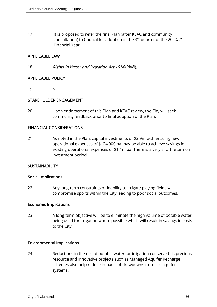17. It is proposed to refer the final Plan (after KEAC and community consultation) to Council for adoption in the 3rd quarter of the 2020/21 Financial Year.

## APPLICABLE LAW

18. Rights in Water and Irrigation Act 1914 (RIWI).

#### APPLICABLE POLICY

19. Nil.

## STAKEHOLDER ENGAGEMENT

20. Upon endorsement of this Plan and KEAC review, the City will seek community feedback prior to final adoption of the Plan.

## FINANCIAL CONSIDERATIONS

21. As noted in the Plan, capital investments of \$3.9m with ensuing new operational expenses of \$124,000 pa may be able to achieve savings in existing operational expenses of \$1.4m pa. There is a very short return on investment period.

## **SUSTAINABILITY**

#### Social Implications

22. Any long-term constraints or inability to irrigate playing fields will compromise sports within the City leading to poor social outcomes.

## Economic Implications

23. A long-term objective will be to eliminate the high volume of potable water being used for irrigation where possible which will result in savings in costs to the City.

## Environmental Implications

24. Reductions in the use of potable water for irrigation conserve this precious resource and innovative projects such as Managed Aquifer Recharge schemes also help reduce impacts of drawdowns from the aquifer systems.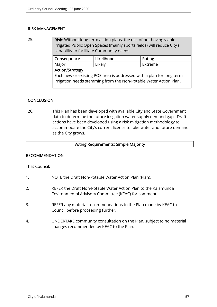## RISK MANAGEMENT

25. Risk: Without long term action plans, the risk of not having viable irrigated Public Open Spaces (mainly sports fields) will reduce City's capability to facilitate Community needs.

| Consequence                                                          | Likelihood | Rating  |
|----------------------------------------------------------------------|------------|---------|
| Major                                                                | Likely     | Extreme |
| <b>Action/Strategy</b>                                               |            |         |
| Each new or existing POS area is addressed with a plan for long term |            |         |
| irrigation needs stemming from the Non-Potable Water Action Plan.    |            |         |
|                                                                      |            |         |

# **CONCLUSION**

26. This Plan has been developed with available City and State Government data to determine the future irrigation water supply demand gap. Draft actions have been developed using a risk mitigation methodology to accommodate the City's current licence to take water and future demand as the City grows.

## Voting Requirements: Simple Majority

## RECOMMENDATION

That Council:

- 1. NOTE the Draft Non-Potable Water Action Plan (Plan).
- 2. REFER the Draft Non-Potable Water Action Plan to the Kalamunda Environmental Advisory Committee (KEAC) for comment.
- 3. REFER any material recommendations to the Plan made by KEAC to Council before proceeding further.
- 4. UNDERTAKE community consultation on the Plan, subject to no material changes recommended by KEAC to the Plan.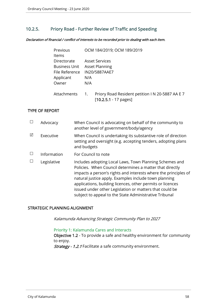# 10.2.5. Priory Road - Further Review of Traffic and Speeding

Declaration of financial / conflict of interests to be recorded prior to dealing with each item.

| Previous             | OCM 184/2019; OCM 189/2019                                                                |
|----------------------|-------------------------------------------------------------------------------------------|
| <b>Items</b>         |                                                                                           |
| Directorate          | <b>Asset Services</b>                                                                     |
| <b>Business Unit</b> | <b>Asset Planning</b>                                                                     |
| File Reference       | IN20/5887AAE7                                                                             |
| Applicant            | N/A                                                                                       |
| Owner                | N/A                                                                                       |
| Attachments          | Priory Road Resident petition I N 20-5887 AA E 7<br>1.<br>$[10.2.5.1 - 17 \text{ pages}]$ |

#### TYPE OF REPORT

|   | Advocacy    | When Council is advocating on behalf of the community to<br>another level of government/body/agency                                                                                                                                                                                                                                                                                                                                |
|---|-------------|------------------------------------------------------------------------------------------------------------------------------------------------------------------------------------------------------------------------------------------------------------------------------------------------------------------------------------------------------------------------------------------------------------------------------------|
| ⊠ | Executive   | When Council is undertaking its substantive role of direction<br>setting and oversight (e.g. accepting tenders, adopting plans<br>and budgets                                                                                                                                                                                                                                                                                      |
|   | Information | For Council to note                                                                                                                                                                                                                                                                                                                                                                                                                |
|   | Legislative | Includes adopting Local Laws, Town Planning Schemes and<br>Policies. When Council determines a matter that directly<br>impacts a person's rights and interests where the principles of<br>natural justice apply. Examples include town planning<br>applications, building licences, other permits or licences<br>issued under other Legislation or matters that could be<br>subject to appeal to the State Administrative Tribunal |

## STRATEGIC PLANNING ALIGNMENT

Kalamunda Advancing Strategic Community Plan to 2027

#### Priority 1: Kalamunda Cares and Interacts

Objective 1.2 - To provide a safe and healthy environment for community to enjoy.

Strategy - 1.2.1 Facilitate a safe community environment.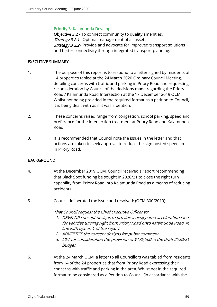#### Priority 3: Kalamunda Develops

Objective 3.2 - To connect community to quality amenities. Strategy 3.2.1 - Optimal management of all assets. **Strategy 3.2.2** - Provide and advocate for improved transport solutions and better connectivity through integrated transport planning.

#### EXECUTIVE SUMMARY

- 1. The purpose of this report is to respond to a letter signed by residents of 14 properties tabled at the 24 March 2020 Ordinary Council Meeting, detailing concerns with traffic and parking in Priory Road and requesting reconsideration by Council of the decisions made regarding the Priory Road / Kalamunda Road Intersection at the 17 December 2019 OCM. Whilst not being provided in the required format as a petition to Council, it is being dealt with as if it was a petition.
- 2. These concerns raised range from congestion, school parking, speed and preference for the intersection treatment at Priory Road and Kalamunda Road.
- 3. It is recommended that Council note the issues in the letter and that actions are taken to seek approval to reduce the sign posted speed limit in Priory Road.

## **BACKGROUND**

- 4. At the December 2019 OCM, Council received a report recommending that Black Spot funding be sought in 2020/21 to close the right turn capability from Priory Road into Kalamunda Road as a means of reducing accidents.
- 5. Council deliberated the issue and resolved: (OCM 300/2019):

That Council request the Chief Executive Officer to:

- 1. DEVELOP concept designs to provide a designated acceleration lane for vehicles turning right from Priory Road onto Kalamunda Road, in line with option 1 of the report.
- 2. ADVERTISE the concept designs for public comment.
- 3. LIST for consideration the provision of \$175,000 in the draft 2020/21 budget.
- 6. At the 24 March OCM, a letter to all Councillors was tabled from residents from 14 of the 24 properties that front Priory Road expressing their concerns with traffic and parking in the area. Whilst not in the required format to be considered as a Petition to Council (in accordance with the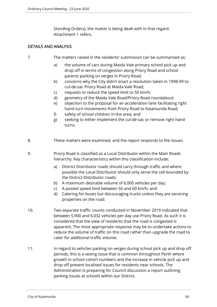Standing Orders), the matter is being dealt with in that regard. Attachment 1 refers.

# DETAILS AND ANALYSIS

- 7. The matters raised in the residents' submission can be summarised as:
	- a) the volume of cars during Maida Vale primary school pick up and drop off in terms of congestion along Priory Road and school parents parking on verges in Priory Road;
	- b) concerns why the City didn't enact a resolution taken in 1998-99 to cul-de-sac Priory Road at Maida Vale Road;
	- c) requests to reduce the speed limit to 50 km/h;
	- d) geometry of the Maida Vale Road/Priory Road roundabout;
	- e) objection to the proposal for an acceleration lane facilitating right hand turn movements from Priory Road to Kalamunda Road;
	- f) safety of school children in the area; and
	- g) seeking to either implement the cul-de-sac or remove right hand turns.
- 8. These matters were examined, and the report responds to the issues.
- 9. Priory Road is classified as a Local Distributor within the Main Roads hierarchy. Key characteristics within this classification include:
	- a) District Distributor roads should carry through traffic and where possible the Local Distributor should only serve the cell bounded by the District Distributor roads;
	- b) A maximum desirable volume of 6,000 vehicles per day;
	- c) A posted speed limit between 50 and 60 km/h; and
	- d) Catering for buses but discouraging trucks unless they are servicing properties on the road.
- 10. Two separate traffic counts conducted in November 2019 indicated that between 5,900 and 6,032 vehicles per day use Priory Road. As such it is considered that the view of residents that the road is congested is apparent. The most appropriate response may be to undertake actions to reduce the volume of traffic on this road rather than upgrade the road to cater for additional traffic volume.
- 11. In regard to vehicles parking on verges during school pick up and drop off periods, this is a vexing issue that is common throughout Perth where growth in school cohort numbers and the increase in vehicle pick up and drop off present localised issues for residents near schools. The Administration is preparing for Council discussion a report outlining parking issues at schools within our District.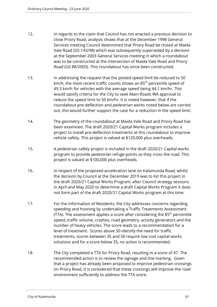- 12. In regards to the claim that Council has not enacted a previous decision to close Priory Road, analysis shows that at the December 1998 General Services meeting Council determined that Priory Road be closed at Maida Vale Road (GS 143/98) which was subsequently superseded by a decision at the September 2003 General Services meeting in which a roundabout was to be constructed at the intersection of Maida Vale Road and Priory Road (GS 88/2003). This roundabout has since been constructed.
- 13. In addressing the request that the posted speed limit be reduced to 50 km/h, the most recent traffic counts shows an 85<sup>th</sup> percentile speed of 49.3 km/h for vehicles with the average speed being 44.1 km/hr. This would satisfy criteria for the City to seek Main Roads WA approval to reduce the speed limit to 50 km/hr. It is noted however, that if the roundabout pre-deflection and pedestrian works noted below are carried out, this would further support the case for a reduction in the speed limit.
- 14. The geometry of the roundabout at Maida Vale Road and Priory Road has been examined. The draft 2020/21 Capital Works program includes a project to install pre-deflection treatments at this roundabout to improve vehicle safety. This project is valued at \$120,000 plus overheads.
- 15. A pedestrian safety project is included in the draft 2020/21 Capital works program to provide pedestrian refuge points as they cross the road. This project is valued at \$100,000 plus overheads.
- 16. In respect of the proposed acceleration lane on Kalamunda Road, whilst the decision by Council at the December 2019 was to list this project in the draft 2020/21 Capital Works Program, after Council strategy sessions in April and May 2020 to determine a draft Capital Works Program it does not form part of the draft 2020/21 Capital Works program at this time.
- 17. For the information of Residents, the City addresses concerns regarding speeding and hooning by undertaking a Traffic Treatments Assessment (TTA). The assessment applies a score after considering the  $85<sup>th</sup>$  percentile speed, traffic volume, crashes, road geometry, activity generators and the number of heavy vehicles. The score leads to a recommendation for a level of treatment. Scores above 50 identify the need for traffic treatments, scores between 35 and 50 require low cost capital works solutions and for a score below 35, no action is recommended.
- 18. The City completed a TTA for Priory Road, resulting in a score of 47. The recommended action is to review the signage and line marking. Given that a project has already been proposed to improve pedestrian crossings on Priory Road, it is considered that these crossings will improve the road environment sufficiently to address the TTA score.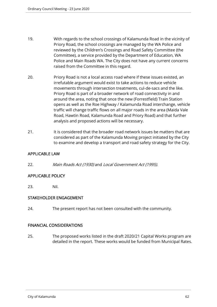- 19. With regards to the school crossings of Kalamunda Road in the vicinity of Priory Road, the school crossings are managed by the WA Police and reviewed by the Children's Crossings and Road Safety Committee (the Committee), a service provided by the Department of Education, WA Police and Main Roads WA. The City does not have any current concerns raised from the Committee in this regard.
- 20. Priory Road is not a local access road where if these issues existed, an irrefutable argument would exist to take actions to reduce vehicle movements through intersection treatments, cul-de-sacs and the like. Priory Road is part of a broader network of road connectivity in and around the area, noting that once the new (Forrestfield) Train Station opens as well as the Roe Highway / Kalamunda Road interchange, vehicle traffic will change traffic flows on all major roads in the area (Maida Vale Road, Hawtin Road, Kalamunda Road and Priory Road) and that further analysis and proposed actions will be necessary.
- 21. It is considered that the broader road network issues be matters that are considered as part of the Kalamunda Moving project initiated by the City to examine and develop a transport and road safety strategy for the City.

# APPLICABLE LAW

22. Main Roads Act (1930) and Local Government Act (1995).

# APPLICABLE POLICY

23. Nil.

## STAKEHOLDER ENGAGEMENT

24. The present report has not been consulted with the community.

## FINANCIAL CONSIDERATIONS

25. The proposed works listed in the draft 2020/21 Capital Works program are detailed in the report. These works would be funded from Municipal Rates.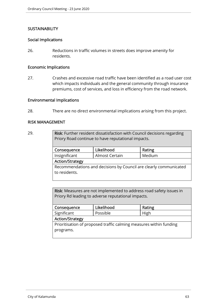## **SUSTAINABILITY**

#### Social Implications

26. Reductions in traffic volumes in streets does improve amenity for residents.

# Economic Implications

27. Crashes and excessive road traffic have been identified as a road user cost which impacts individuals and the general community through insurance premiums, cost of services, and loss in efficiency from the road network.

#### Environmental Implications

28. There are no direct environmental implications arising from this project.

#### RISK MANAGEMENT

#### 29.

Risk: Further resident dissatisfaction with Council decisions regarding Priory Road continue to have reputational impacts.

| Consequence                                                       | Likelihood     | Rating |
|-------------------------------------------------------------------|----------------|--------|
| Insignificant                                                     | Almost Certain | Medium |
| <b>Action/Strategy</b>                                            |                |        |
| Recommendations and decisions by Council are clearly communicated |                |        |
| to residents.                                                     |                |        |

| Risk: Measures are not implemented to address road safety issues in |
|---------------------------------------------------------------------|
| Priory Rd leading to adverse reputational impacts.                  |

| Consequence                                                        | Likelihood | Rating |
|--------------------------------------------------------------------|------------|--------|
| Significant                                                        | Possible   | High   |
| <b>Action/Strategy</b>                                             |            |        |
| Prioritisation of proposed traffic calming measures within funding |            |        |
| programs.                                                          |            |        |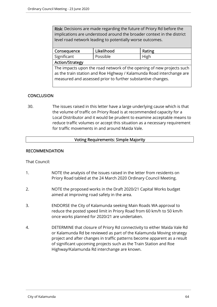Risk: Decisions are made regarding the future of Priory Rd before the implications are understood around the broader context in the district level road network leading to potentially worse outcomes.

| Consequence                                                                                                                                                                                                   | Likelihood | Rating |
|---------------------------------------------------------------------------------------------------------------------------------------------------------------------------------------------------------------|------------|--------|
| Significant                                                                                                                                                                                                   | Possible   | High   |
| <b>Action/Strategy</b>                                                                                                                                                                                        |            |        |
| The impacts upon the road network of the opening of new projects such<br>as the train station and Roe Highway / Kalamunda Road interchange are<br>measured and assessed prior to further substantive changes. |            |        |

# **CONCLUSION**

30. The issues raised in this letter have a large underlying cause which is that the volume of traffic on Priory Road is at recommended capacity for a Local Distributor and it would be prudent to examine acceptable means to reduce traffic volumes or accept this situation as a necessary requirement for traffic movements in and around Maida Vale.

# Voting Requirements: Simple Majority

#### RECOMMENDATION

That Council:

- 1. NOTE the analysis of the issues raised in the letter from residents on Priory Road tabled at the 24 March 2020 Ordinary Council Meeting.
- 2. NOTE the proposed works in the Draft 2020/21 Capital Works budget aimed at improving road safety in the area.
- 3. ENDORSE the City of Kalamunda seeking Main Roads WA approval to reduce the posted speed limit in Priory Road from 60 km/h to 50 km/h once works planned for 2020/21 are undertaken.
- 4. DETERMINE that closure of Priory Rd connectivity to either Maida Vale Rd or Kalamunda Rd be reviewed as part of the Kalamunda Moving strategy project and after changes in traffic patterns become apparent as a result of significant upcoming projects such as the Train Station and Roe Highway/Kalamunda Rd interchange are known.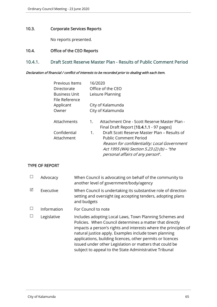## 10.3. Corporate Services Reports

No reports presented.

# 10.4. Office of the CEO Reports

# 10.4.1. Draft Scott Reserve Master Plan - Results of Public Comment Period

#### Declaration of financial / conflict of interests to be recorded prior to dealing with each item.

| Previous Items                         | 16/2020                                                                                        |
|----------------------------------------|------------------------------------------------------------------------------------------------|
| Directorate                            | Office of the CEO                                                                              |
| <b>Business Unit</b><br>File Reference | Leisure Planning                                                                               |
| Applicant                              | City of Kalamunda                                                                              |
| Owner                                  | City of Kalamunda                                                                              |
| Attachments                            | Attachment One - Scott Reserve Master Plan -<br>1.<br>Final Draft Report [10.4.1.1 - 97 pages] |
| Confidential                           | Draft Scott Reserve Master Plan – Results of<br>1.                                             |
| Attachment                             | <b>Public Comment Period</b>                                                                   |
|                                        | Reason for confidentiality: Local Government                                                   |
|                                        | Act 1995 (WA) Section 5.23 (2) (b) - "the                                                      |
|                                        | personal affairs of any person".                                                               |

## TYPE OF REPORT

|   | Advocacy    | When Council is advocating on behalf of the community to<br>another level of government/body/agency                                                                                                                                                                                                                                                                                                                                |
|---|-------------|------------------------------------------------------------------------------------------------------------------------------------------------------------------------------------------------------------------------------------------------------------------------------------------------------------------------------------------------------------------------------------------------------------------------------------|
| ⊠ | Executive   | When Council is undertaking its substantive role of direction<br>setting and oversight (eg accepting tenders, adopting plans<br>and budgets                                                                                                                                                                                                                                                                                        |
|   | Information | For Council to note                                                                                                                                                                                                                                                                                                                                                                                                                |
|   | Legislative | Includes adopting Local Laws, Town Planning Schemes and<br>Policies. When Council determines a matter that directly<br>impacts a person's rights and interests where the principles of<br>natural justice apply. Examples include town planning<br>applications, building licences, other permits or licences<br>issued under other Legislation or matters that could be<br>subject to appeal to the State Administrative Tribunal |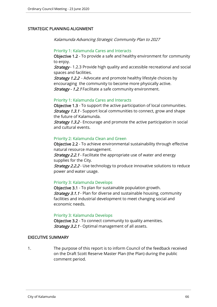## STRATEGIC PLANNING ALIGNMENT

Kalamunda Advancing Strategic Community Plan to 2027

#### Priority 1: Kalamunda Cares and Interacts

Objective 1.2 - To provide a safe and healthy environment for community to enjoy.

**Strategy** - 1.2.3 Provide high quality and accessible recreational and social spaces and facilities.

**Strategy 1.2.2** - Advocate and promote healthy lifestyle choices by encouraging the community to become more physically active. Strategy - 1.2.1 Facilitate a safe community environment.

#### Priority 1: Kalamunda Cares and Interacts

Objective 1.3 - To support the active participation of local communities. **Strategy 1.3.1** - Support local communities to connect, grow and shape the future of Kalamunda.

**Strategy 1.3.2** - Encourage and promote the active participation in social and cultural events.

#### Priority 2: Kalamunda Clean and Green

Objective 2.2 - To achieve environmental sustainability through effective natural resource management.

**Strategy 2.2.1** - Facilitate the appropriate use of water and energy supplies for the City.

**Strategy 2.2.2** - Use technology to produce innovative solutions to reduce power and water usage.

#### Priority 3: Kalamunda Develops

Objective 3.1 - To plan for sustainable population growth. **Strategy 3.1.1** - Plan for diverse and sustainable housing, community facilities and industrial development to meet changing social and economic needs.

#### Priority 3: Kalamunda Develops

Objective 3.2 - To connect community to quality amenities. Strategy 3.2.1 - Optimal management of all assets.

#### EXECUTIVE SUMMARY

1. The purpose of this report is to inform Council of the feedback received on the Draft Scott Reserve Master Plan (the Plan) during the public comment period.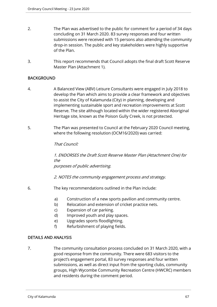- 2. The Plan was advertised to the public for comment for a period of 34 days concluding on 31 March 2020. 83 survey responses and four written submissions were received with 15 persons also attending the community drop-in session. The public and key stakeholders were highly supportive of the Plan.
- 3. This report recommends that Council adopts the final draft Scott Reserve Master Plan (Attachment 1).

# **BACKGROUND**

- 4. A Balanced View (ABV) Leisure Consultants were engaged in July 2018 to develop the Plan which aims to provide a clear framework and objectives to assist the City of Kalamunda (City) in planning, developing and implementing sustainable sport and recreation improvements at Scott Reserve. The site although located within the wider registered Aboriginal Heritage site, known as the Poison Gully Creek, is not protected.
- 5. The Plan was presented to Council at the February 2020 Council meeting, where the following resolution (OCM16/2020) was carried:

## That Council:

1. ENDORSES the Draft Scott Reserve Master Plan (Attachment One) for the purposes of public advertising.

2. NOTES the community engagement process and strategy.

- 6. The key recommendations outlined in the Plan include:
	- a) Construction of a new sports pavilion and community centre.
	- b) Relocation and extension of cricket practice nets.
	- c) Expansion of car parking.
	- d) Improved youth and play spaces.
	- e) Upgrades sports floodlighting.
	- f) Refurbishment of playing fields.

## DETAILS AND ANALYSIS

7. The community consultation process concluded on 31 March 2020, with a good response from the community. There were 683 visitors to the project's engagement portal, 83 survey responses and four written submissions, as well as direct input from the sporting clubs, community groups, High Wycombe Community Recreation Centre (HWCRC) members and residents during the comment period.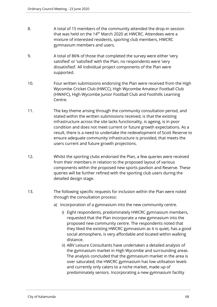- 8. A total of 15 members of the community attended the drop-in session that was held on the 14<sup>th</sup> March 2020 at HWCRC. Attendees were a mixture of interested residents, sporting club members, HWCRC gymnasium members and users.
- 9. A total of 86% of those that completed the survey were either 'very satisfied' or 'satisfied' with the Plan, no respondents were 'very dissatisfied'. All individual project components of the Plan were supported.
- 10. Four written submissions endorsing the Plan were received from the High Wycombe Cricket Club (HWCC), High Wycombe Amateur Football Club (HWAFC), High Wycombe Junior Football Club and Foothills Learning Centre.
- 11. The key theme arising through the community consultation period, and stated within the written submissions received, is that the existing infrastructure across the site lacks functionality, is ageing, is in poor condition and does not meet current or future growth expectations. As a result, there is a need to undertake the redevelopment of Scott Reserve to ensure adequate community infrastructure is provided, that meets the users current and future growth projections.
- 12. Whilst the sporting clubs endorsed the Plan, a few queries were received from their members in relation to the proposed layout of various components within the proposed new sports pavilion and Reserve. These queries will be further refined with the sporting club users during the detailed design stage.
- 13. The following specific requests for inclusion within the Plan were noted through the consultation process:
	- a) Incorporation of a gymnasium into the new community centre.
		- i) Eight respondents, predominately HWCRC gymnasium members, requested that the Plan incorporate a new gymnasium into the proposed new community centre. The respondents noted that they liked the existing HWCRC gymnasium as it is quiet, has a good social atmosphere, is very affordable and located within walking distance.
		- ii) ABV Leisure Consultants have undertaken a detailed analysis of the gymnasium market in High Wycombe and surrounding areas. The analysis concluded that the gymnasium market in the area is over saturated; the HWCRC gymnasium has low utilisation levels and currently only caters to a niche market, made up of predominately seniors. Incorporating a new gymnasium facility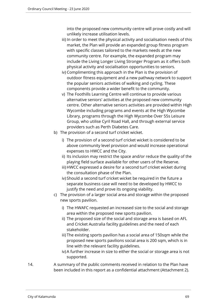into the proposed new community centre will prove costly and will unlikely increase utilisation levels.

- iii) In order to meet the physical activity and socialisation needs of this market, the Plan will provide an expanded group fitness program with specific classes tailored to the markets needs at the new community centre. For example, the expanded program may include the Living Longer Living Stronger Program as it offers both physical activity and socialisation opportunities to seniors.
- iv) Complimenting this approach in the Plan is the provision of outdoor fitness equipment and a new pathway network to support the popular seniors activities of walking and cycling. These components provide a wider benefit to the community.
- v) The Foothills Learning Centre will continue to provide various alternative seniors' activities at the proposed new community centre. Other alternative seniors activities are provided within High Wycombe including programs and events at the High Wycombe Library, programs through the High Wycombe Over 55s Leisure Group, who utilise Cyril Road Hall, and through external service providers such as Perth Diabetes Care.
- b) The provision of a second turf cricket wicket.
	- i) The provision of a second turf cricket wicket is considered to be above community level provision and would increase operational expenses to HWCC and the City.
	- ii) Its inclusion may restrict the space and/or reduce the quality of the playing field surface available for other users of the Reserve.
	- iii) HWCC expressed a desire for a second turf cricket wicket during the consultation phase of the Plan.
	- iv) Should a second turf cricket wicket be required in the future a separate business case will need to be developed by HWCC to justify the need and prove its ongoing viability.
- c) The provision of a larger social area and storage within the proposed new sports pavilion.
	- i) The HWAFC requested an increased size to the social and storage area within the proposed new sports pavilion.
	- ii) The proposed size of the social and storage area is based on AFL and Cricket Australia facility guidelines and the need of each stakeholder.
	- iii) The existing sports pavilion has a social area of 150sqm while the proposed new sports pavilions social area is 200 sqm, which is in line with the relevant facility guidelines.
	- iv) A further increase in size to either the social or storage area is not supported.
- 14. A summary of the public comments received in relation to the Plan have been included in this report as a confidential attachment (Attachment 2).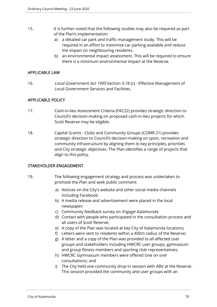- 15. It is further noted that the following studies may also be required as part of the Plan's implementation:
	- a) a detailed car park and traffic management study. This will be required in an effort to maximise car parking available and reduce the impact on neighbouring residents.
	- b) an environmental impact assessment. This will be required to ensure there is a minimum environmental impact at the Reserve.

## APPLICABLE LAW

16. Local Government Act 1995 Section 3.18 (c) - Effective Management of Local Government Services and Facilities.

## APPLICABLE POLICY

- 17. Cash-in-lieu Assessment Criteria (FAC22) provides strategic direction to Council's decision-making on proposed cash-in-lieu projects for which Scott Reserve may be eligible.
- 18. Capital Grants Clubs and Community Groups (COMR 21) provides strategic direction to Council's decision-making on sport, recreation and community infrastructure by aligning them to key principles, priorities and City strategic objectives. The Plan identifies a range of projects that align to this policy.

## STAKEHOLDER ENGAGEMENT

- 19. The following engagement strategy and process was undertaken to promote the Plan and seek public comment:
	- a) Notices on the City's website and other social media channels including Facebook;
	- b) A media release and advertisement were placed in the local newspaper;
	- c) Community feedback survey on *Engage Kalamunda;*
	- d) Contact with people who participated in the consultation process and all users of Scott Reserve;
	- e) A copy of the Plan was located at key City of Kalamunda locations;
	- f) Letters were sent to residents within a 400m radius of the Reserve;
	- g) A letter and a copy of the Plan was provided to all affected user groups and stakeholders including HWCRC user groups, gymnasium and group fitness members and sporting club representatives;
	- h) HWCRC Gymnasium members were offered 'one on one' consultations; and
	- i) The City held one community drop-in session with ABV at the Reserve. This session provided the community and user groups with an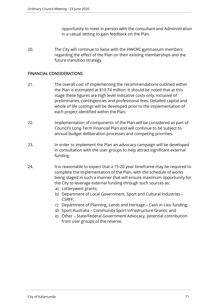opportunity to meet in person with the consultant and Administration in a casual setting to gain feedback on the Plan.

20. The City will continue to liaise with the HWCRC gymnasium members regarding the effect of the Plan on their existing memberships and the future transition strategy.

# FINANCIAL CONSIDERATIONS

- 21. The overall cost of implementing the recommendations outlined within the Plan is estimated at \$10.74 million. It should be noted that at this stage these figures are high level indicative costs only, inclusive of preliminaries, contingencies and professional fees. Detailed capital and whole of life costings will be developed prior to the implementation of each project identified within the Plan.
- 22. Implementation of components of the Plan will be considered as part of Council's Long-Term Financial Plan and will continue to be subject to annual budget deliberation processes and competing priorities.
- 23. In order to implement the Plan an advocacy campaign will be developed in consultation with the user groups to help attract significant external funding.
- 24. It is reasonable to expect that a 15-20 year timeframe may be required to complete the implementation of the Plan, with the schedule of works being staged in such a manner that will ensure maximum opportunity for the City to leverage external funding through such sources as:
	- a) Lotterywest grants;
	- b) Department of Local Government, Sport and Cultural Industries CSRFF;
	- c) Department of Planning, Lands and Heritage Cash in Lieu funding;
	- d) Sport Australia Community Sport Infrastructure Grants; and
	- e) Other State/Federal Government Advocacy, potential contribution from user groups of the reserve.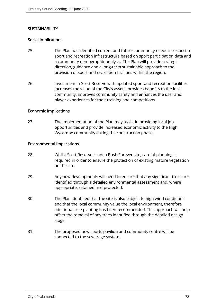# **SUSTAINABILITY**

# Social Implications

- 25. The Plan has identified current and future community needs in respect to sport and recreation infrastructure based on sport participation data and a community demographic analysis. The Plan will provide strategic direction, guidance and a long-term sustainable approach to the provision of sport and recreation facilities within the region.
- 26. Investment in Scott Reserve with updated sport and recreation facilities increases the value of the City's assets, provides benefits to the local community, improves community safety and enhances the user and player experiences for their training and competitions.

## Economic Implications

27. The implementation of the Plan may assist in providing local job opportunities and provide increased economic activity to the High Wycombe community during the construction phase.

# Environmental Implications

- 28. Whilst Scott Reserve is not a Bush Forever site, careful planning is required in order to ensure the protection of existing mature vegetation on the site.
- 29. Any new developments will need to ensure that any significant trees are identified through a detailed environmental assessment and, where appropriate, retained and protected.
- 30. The Plan identified that the site is also subject to high wind conditions and that the local community value the local environment, therefore additional tree planting has been recommended. This approach will help offset the removal of any trees identified through the detailed design stage.
- 31. The proposed new sports pavilion and community centre will be connected to the sewerage system.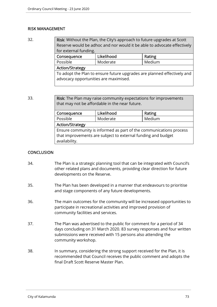### RISK MANAGEMENT

32. Risk: Without the Plan, the City's approach to future upgrades at Scott Reserve would be adhoc and nor would it be able to advocate effectively for external funding. Consequence | Likelihood | Rating Possible | Moderate | Medium Action/Strategy

To adopt the Plan to ensure future upgrades are planned effectively and advocacy opportunities are maximised.

33. **Risk:** The Plan may raise community expectations for improvements that may not be affordable in the near future.

| Consequence                                                        | Rating   |        |  |  |
|--------------------------------------------------------------------|----------|--------|--|--|
| Possible                                                           | Moderate | Medium |  |  |
| <b>Action/Strategy</b>                                             |          |        |  |  |
| Ensure community is informed as part of the communications process |          |        |  |  |
| that improvements are subject to external funding and budget       |          |        |  |  |
| availability.                                                      |          |        |  |  |
|                                                                    |          |        |  |  |

## **CONCLUSION**

- 34. The Plan is a strategic planning tool that can be integrated with Council's other related plans and documents, providing clear direction for future developments on the Reserve.
- 35. The Plan has been developed in a manner that endeavours to prioritise and stage components of any future developments.
- 36. The main outcomes for the community will be increased opportunities to participate in recreational activities and improved provision of community facilities and services.
- 37. The Plan was advertised to the public for comment for a period of 34 days concluding on 31 March 2020. 83 survey responses and four written submissions were received with 15 persons also attending the community workshop.
- 38. In summary, considering the strong support received for the Plan, it is recommended that Council receives the public comment and adopts the final Draft Scott Reserve Master Plan.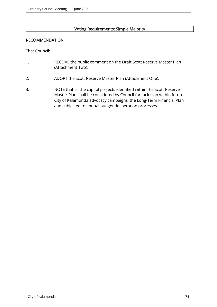## Voting Requirements: Simple Majority

#### RECOMMENDATION

That Council:

- 1. RECEIVE the public comment on the Draft Scott Reserve Master Plan (Attachment Two).
- 2. ADOPT the Scott Reserve Master Plan (Attachment One).
- 3. NOTE that all the capital projects identified within the Scott Reserve Master Plan shall be considered by Council for inclusion within future City of Kalamunda advocacy campaigns, the Long-Term Financial Plan and subjected to annual budget deliberation processes.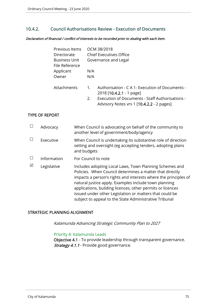## 10.4.2. Council Authorisations Review - Execution of Documents

Declaration of financial / conflict of interests to be recorded prior to dealing with each item.

| Previous Items<br>Directorate   | OCM 38/2018<br><b>Chief Executives Office</b>                                     |
|---------------------------------|-----------------------------------------------------------------------------------|
| Business Unit<br>File Reference | Governance and Legal                                                              |
| Applicant                       | N/A                                                                               |
| Owner                           | N/A                                                                               |
| <b>Attachments</b>              | Authorisation - C A 1- Execution of Documents -<br>1.<br>2018 [10.4.2.1 - 1 page] |
|                                 | Execution of Documents - Staff Authorisations -<br>2.                             |

Advisory Notes vrs 1 [10.4.2.2 - 2 pages]

#### TYPE OF REPORT

|   | Advocacy    | When Council is advocating on behalf of the community to<br>another level of government/body/agency                                                                                                                                                                                                                                                                                                                                |
|---|-------------|------------------------------------------------------------------------------------------------------------------------------------------------------------------------------------------------------------------------------------------------------------------------------------------------------------------------------------------------------------------------------------------------------------------------------------|
|   | Executive   | When Council is undertaking its substantive role of direction<br>setting and oversight (eg accepting tenders, adopting plans<br>and budgets                                                                                                                                                                                                                                                                                        |
|   | Information | For Council to note                                                                                                                                                                                                                                                                                                                                                                                                                |
| ☑ | Legislative | Includes adopting Local Laws, Town Planning Schemes and<br>Policies. When Council determines a matter that directly<br>impacts a person's rights and interests where the principles of<br>natural justice apply. Examples include town planning<br>applications, building licences, other permits or licences<br>issued under other Legislation or matters that could be<br>subject to appeal to the State Administrative Tribunal |

#### STRATEGIC PLANNING ALIGNMENT

Kalamunda Advancing Strategic Community Plan to 2027

#### Priority 4: Kalamunda Leads

Objective 4.1 - To provide leadership through transparent governance. Strategy 4.1.1 - Provide good governance.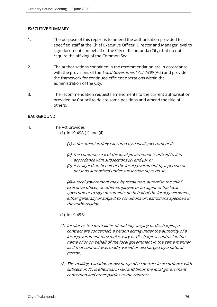### EXECUTIVE SUMMARY

- 1. The purpose of this report is to amend the authorisation provided to specified staff at the Chief Executive Officer, Director and Manager level to sign documents on behalf of the City of Kalamunda (City) that do not require the affixing of the Common Seal.
- 2. The authorisations contained in the recommendation are in accordance with the provisions of the *Local Government Act 1995* (Act) and provide the framework for continued efficient operations within the administration of the City.
- 3. The recommendation requests amendments to the current authorisation provided by Council to delete some positions and amend the title of others.

### BACKGROUND

4. The Act provides (1) in s9.49A (1) and (4):

(1)-A document is duly executed by a local government if: -

- (a) the common seal of the local government is affixed to it in accordance with subsections (2) and (3); or
- (b) it is signed on behalf of the local government by a person or persons authorised under subsection (4) to do so.

(4)-A local government may, by resolution, authorise the chief executive officer, another employee or an agent of the local government to sign documents on behalf of the local government, either generally or subject to conditions or restrictions specified in the authorisation.

- (2) in s9.49B:
- (1) Insofar as the formalities of making, varying or discharging a contract are concerned, a person acting under the authority of a local government may make, vary or discharge a contract in the name of or on behalf of the local government in the same manner as if that contract was made, varied or discharged by a natural person.
- (2) The making, variation or discharge of a contract in accordance with subsection (1) is effectual in law and binds the local government concerned and other parties to the contract.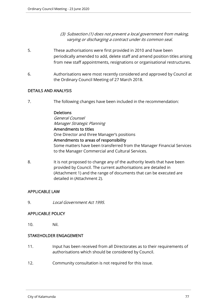- (3) Subsection (1) does not prevent a local government from making, varying or discharging a contract under its common seal.
- 5. These authorisations were first provided in 2010 and have been periodically amended to add, delete staff and amend position titles arising from new staff appointments, resignations or organisational restructures.
- 6. Authorisations were most recently considered and approved by Council at the Ordinary Council Meeting of 27 March 2018.

## DETAILS AND ANALYSIS

7. The following changes have been included in the recommendation:

#### Deletions

General Counsel Manager Strategic Planning Amendments to titles One Director and three Manager's positions Amendments to areas of responsibility Some matters have been transferred from the Manager Financial Services to the Manager Commercial and Cultural Services.

8. It is not proposed to change any of the authority levels that have been provided by Council. The current authorisations are detailed in (Attachment 1) and the range of documents that can be executed are detailed in (Attachment 2).

## APPLICABLE LAW

9. Local Government Act 1995.

### APPLICABLE POLICY

10. Nil.

### STAKEHOLDER ENGAGEMENT

- 11. Input has been received from all Directorates as to their requirements of authorisations which should be considered by Council.
- 12. Community consultation is not required for this issue.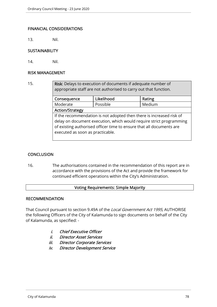## FINANCIAL CONSIDERATIONS

13. Nil.

## **SUSTAINABILITY**

14. Nil.

#### RISK MANAGEMENT

15. **Risk:** Delays to execution of documents if adequate number of appropriate staff are not authorised to carry out that function.

| Consequence                                                          | Likelihood | Rating |  |  |
|----------------------------------------------------------------------|------------|--------|--|--|
| Moderate                                                             | Possible   | Medium |  |  |
| <b>Action/Strategy</b>                                               |            |        |  |  |
| If the recommendation is not adopted then there is increased risk of |            |        |  |  |
| delay on document execution, which would require strict programming  |            |        |  |  |
| of existing authorised officer time to ensure that all documents are |            |        |  |  |
| executed as soon as practicable.                                     |            |        |  |  |
|                                                                      |            |        |  |  |

## **CONCLUSION**

16. The authorisations contained in the recommendation of this report are in accordance with the provisions of the Act and provide the framework for continued efficient operations within the City's Administration.

## Voting Requirements: Simple Majority

### RECOMMENDATION

That Council pursuant to section 9.49A of the Local Government Act 1995, AUTHORISE the following Officers of the City of Kalamunda to sign documents on behalf of the City of Kalamunda, as specified: -

- i. Chief Executive Officer
- ii. Director Asset Services
- iii. Director Corporate Services
- iv. Director Development Service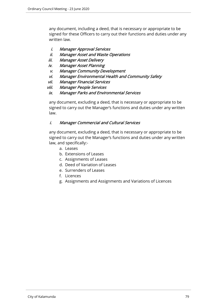any document, including a deed, that is necessary or appropriate to be signed for these Officers to carry out their functions and duties under any written law.

## i. Manager Approval Services

- ii. Manager Asset and Waste Operations
- iii. Manager Asset Delivery
- iv. Manager Asset Planning
- v. Manager Community Development
- vi. Manager Environmental Health and Community Safety
- vii. Manager Financial Services
- viii. Manager People Services
- ix. Manager Parks and Environmental Services

any document, excluding a deed, that is necessary or appropriate to be signed to carry out the Manager's functions and duties under any written law.

## i. Manager Commercial and Cultural Services

any document, excluding a deed, that is necessary or appropriate to be signed to carry out the Manager's functions and duties under any written law, and specifically:-

- a. Leases
- b. Extensions of Leases
- c. Assignments of Leases
- d. Deed of Variation of Leases
- e. Surrenders of Leases
- f. Licences
- g. Assignments and Assignments and Variations of Licences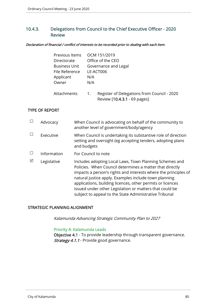# 10.4.3. Delegations from Council to the Chief Executive Officer - 2020 Review

Declaration of financial / conflict of interests to be recorded prior to dealing with each item.

| Previous Items       |                  | OCM 151/2019                                                                |
|----------------------|------------------|-----------------------------------------------------------------------------|
| Directorate          |                  | Office of the CEO                                                           |
| <b>Business Unit</b> |                  | Governance and Legal                                                        |
| File Reference       |                  | LE-ACT006                                                                   |
| Applicant            | N/A              |                                                                             |
| Owner                | N/A              |                                                                             |
| Attachments          | $\overline{1}$ . | Register of Delegations from Council - 2020<br>Review [10.4.3.1 - 69 pages] |

## TYPE OF REPORT

|   | Advocacy    | When Council is advocating on behalf of the community to<br>another level of government/body/agency                                                                                                                                                                                                                                                                                                                                |
|---|-------------|------------------------------------------------------------------------------------------------------------------------------------------------------------------------------------------------------------------------------------------------------------------------------------------------------------------------------------------------------------------------------------------------------------------------------------|
|   | Executive   | When Council is undertaking its substantive role of direction<br>setting and oversight (eg accepting tenders, adopting plans<br>and budgets                                                                                                                                                                                                                                                                                        |
|   | Information | For Council to note                                                                                                                                                                                                                                                                                                                                                                                                                |
| ⊠ | Legislative | Includes adopting Local Laws, Town Planning Schemes and<br>Policies. When Council determines a matter that directly<br>impacts a person's rights and interests where the principles of<br>natural justice apply. Examples include town planning<br>applications, building licences, other permits or licences<br>issued under other Legislation or matters that could be<br>subject to appeal to the State Administrative Tribunal |

## STRATEGIC PLANNING ALIGNMENT

Kalamunda Advancing Strategic Community Plan to 2027

#### Priority 4: Kalamunda Leads

Objective 4.1 - To provide leadership through transparent governance. Strategy 4.1.1 - Provide good governance.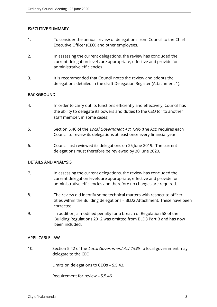### EXECUTIVE SUMMARY

- 1. To consider the annual review of delegations from Council to the Chief Executive Officer (CEO) and other employees.
- 2. In assessing the current delegations, the review has concluded the current delegation levels are appropriate, effective and provide for administrative efficiencies.
- 3. It is recommended that Council notes the review and adopts the delegations detailed in the draft Delegation Register (Attachment 1).

#### **BACKGROUND**

- 4. In order to carry out its functions efficiently and effectively, Council has the ability to delegate its powers and duties to the CEO (or to another staff member, in some cases).
- 5. Section 5.46 of the Local Government Act 1995 (the Act) requires each Council to review its delegations at least once every financial year.
- 6. Council last reviewed its delegations on 25 June 2019. The current delegations must therefore be reviewed by 30 June 2020.

#### DETAILS AND ANALYSIS

- 7. In assessing the current delegations, the review has concluded the current delegation levels are appropriate, effective and provide for administrative efficiencies and therefore no changes are required.
- 8. The review did identify some technical matters with respect to officer titles within the Building delegations – BLD2 Attachment. These have been corrected.
- 9. In addition, a modified penalty for a breach of Regulation 58 of the Building Regulations 2012 was omitted from BLD3 Part B and has now been included.

#### APPLICABLE LAW

10. Section 5.42 of the Local Government Act 1995 - a local government may delegate to the CEO.

Limits on delegations to CEOs – S.5.43.

Requirement for review – S.5.46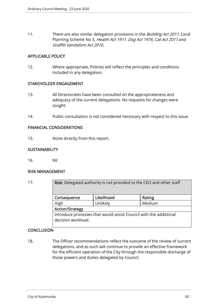11. There are also similar delegation provisions in the *Building Act 2011*, Local Planning Scheme No 3, Health Act 1911, Dog Act 1976, Cat Act 2011 and Graffiti Vandalism Act 2016.

### APPLICABLE POLICY

12. Where appropriate, Policies will reflect the principles and conditions included in any delegation.

### STAKEHOLDER ENGAGEMENT

- 13. All Directorates have been consulted on the appropriateness and adequacy of the current delegations. No requests for changes were sought.
- 14. Public consultation is not considered necessary with respect to this issue.

### FINANCIAL CONSIDERATIONS

15. None directly from this report.

### **SUSTAINABILITY**

16. Nil

### RISK MANAGEMENT

| 17. |                                                                                         | <b>Risk:</b> Delegated authority is not provided to the CEO and other staff |        |  |  |
|-----|-----------------------------------------------------------------------------------------|-----------------------------------------------------------------------------|--------|--|--|
|     | Consequence                                                                             | Likelihood                                                                  | Rating |  |  |
|     | High                                                                                    | Unlikely                                                                    | Medium |  |  |
|     | <b>Action/Strategy</b>                                                                  |                                                                             |        |  |  |
|     | Introduce processes that would assist Council with the additional<br>decision workload. |                                                                             |        |  |  |

## CONCLUSION

18. The Officer recommendations reflect the outcome of the review of current delegations, and as such will continue to provide an effective framework for the efficient operation of the City through the responsible discharge of those powers and duties delegated by Council.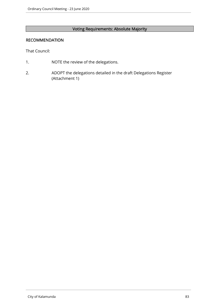# Voting Requirements: Absolute Majority

#### RECOMMENDATION

That Council:

- 1. NOTE the review of the delegations.
- 2. ADOPT the delegations detailed in the draft Delegations Register (Attachment 1)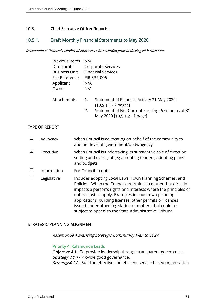## 10.5. Chief Executive Officer Reports

## 10.5.1. Draft Monthly Financial Statements to May 2020

#### Declaration of financial / conflict of interests to be recorded prior to dealing with each item.

| Previous Items       |                  |                                                                                    |
|----------------------|------------------|------------------------------------------------------------------------------------|
| Directorate          |                  | Corporate Services                                                                 |
| <b>Business Unit</b> |                  | <b>Financial Services</b>                                                          |
| File Reference       |                  | FIR-SRR-006                                                                        |
| Applicant            | N/A              |                                                                                    |
| Owner                | N/A              |                                                                                    |
| Attachments          | $\overline{1}$ . | Statement of Financial Activity 31 May 2020<br>$[10.5.1.1 - 2$ pages]              |
|                      | 2.               | Statement of Net Current Funding Position as of 31<br>May 2020 [10.5.1.2 - 1 page] |
|                      |                  | N/A                                                                                |

#### TYPE OF REPORT

|   | Advocacy    | When Council is advocating on behalf of the community to<br>another level of government/body/agency                                                                                                                                                                                                                                                                                                                                     |
|---|-------------|-----------------------------------------------------------------------------------------------------------------------------------------------------------------------------------------------------------------------------------------------------------------------------------------------------------------------------------------------------------------------------------------------------------------------------------------|
| ⊠ | Executive   | When Council is undertaking its substantive role of direction<br>setting and oversight (eg accepting tenders, adopting plans<br>and budgets                                                                                                                                                                                                                                                                                             |
|   | Information | For Council to note                                                                                                                                                                                                                                                                                                                                                                                                                     |
|   | Legislative | Includes adopting Local Laws, Town Planning Schemes, and<br>Policies. When the Council determines a matter that directly<br>impacts a person's rights and interests where the principles of<br>natural justice apply. Examples include town planning<br>applications, building licenses, other permits or licenses<br>issued under other Legislation or matters that could be<br>subject to appeal to the State Administrative Tribunal |

#### STRATEGIC PLANNING ALIGNMENT

Kalamunda Advancing Strategic Community Plan to 2027

#### Priority 4: Kalamunda Leads

Objective 4.1 - To provide leadership through transparent governance. Strategy 4.1.1 - Provide good governance. Strategy 4.1.2 - Build an effective and efficient service-based organisation.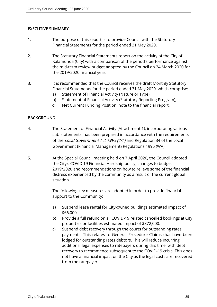## EXECUTIVE SUMMARY

- 1. The purpose of this report is to provide Council with the Statutory Financial Statements for the period ended 31 May 2020.
- 2. The Statutory Financial Statements report on the activity of the City of Kalamunda (City) with a comparison of the period's performance against the mid-term review budget adopted by the Council on 24 March 2020 for the 2019/2020 financial year.
- 3. It is recommended that the Council receives the draft Monthly Statutory Financial Statements for the period ended 31 May 2020, which comprise:
	- a) Statement of Financial Activity (Nature or Type);
	- b) Statement of Financial Activity (Statutory Reporting Program);
	- c) Net Current Funding Position, note to the financial report.

### BACKGROUND

- 4. The Statement of Financial Activity (Attachment 1), incorporating various sub-statements, has been prepared in accordance with the requirements of the Local Government Act 1995 (WA) and Regulation 34 of the Local Government (Financial Management) Regulations 1996 (WA).
- 5. At the Special Council meeting held on 7 April 2020, the Council adopted the City's COVID 19 Financial Hardship policy, changes to budget 2019/2020 and recommendations on how to relieve some of the financial distress experienced by the community as a result of the current global situation.

The following key measures are adopted in order to provide financial support to the Community:

- a) Suspend lease rental for City-owned buildings estimated impact of \$66,000.
- b) Provide a full refund on all COVID-19 related cancelled bookings at City properties or facilities estimated impact of \$372,000.
- c) Suspend debt recovery through the courts for outstanding rates payments. This relates to General Procedure Claims that have been lodged for outstanding rates debtors. This will reduce incurring additional legal expenses to ratepayers during this time, with debt recovery to recommence subsequent to the COVID-19 crisis. This does not have a financial impact on the City as the legal costs are recovered from the ratepayer.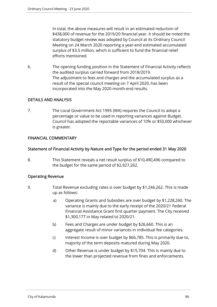In total, the above measures will result in an estimated reduction of \$438,000 of revenue for the 2019/20 financial year. It should be noted the statutory budget review was adopted by Council at its Ordinary Council Meeting on 24 March 2020 reporting a year-end estimated accumulated surplus of \$3.5 million, which is sufficient to fund the financial relief efforts mentioned.

6. The opening funding position in the Statement of Financial Activity reflects the audited surplus carried forward from 2018/2019. The adjustment to fees and charges and the accumulated surplus as a result of the special council meeting on 7 April 2020, has been incorporated into the May 2020 month-end results.

## DETAILS AND ANALYSIS

7. The Local Government Act 1995 (WA) requires the Council to adopt a percentage or value to be used in reporting variances against Budget. Council has adopted the reportable variances of 10% or \$50,000 whichever is greater.

## FINANCIAL COMMENTARY

### Statement of Financial Activity by Nature and Type for the period ended 31 May 2020

8. This Statement reveals a net result surplus of \$10,490,496 compared to the budget for the same period of \$2,927,262.

### Operating Revenue

- 9. Total Revenue excluding rates is over budget by \$1,246,262. This is made up as follows:
	- a) Operating Grants and Subsidies are over budget by \$1,228,260. The variance is mainly due to the early receipt of the 2020/21 Federal Financial Assistance Grant first quarter payment. The City received \$1,300,177 in May related to 2020/21.
	- b) Fees and Charges are under budget by \$26,660. This is an aggregate result of minor variances in individual fee categories.
	- c) Interest Income is over budget by \$66,785. This is primarily due to, majority of the term deposits matured during May 2020.
	- d) Other Revenue is under budget by \$15,704. This is mainly due to the lower than projected revenue from fines and enforcements.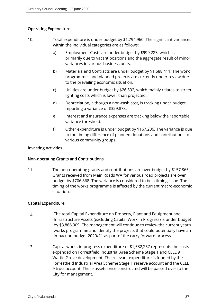## Operating Expenditure

- 10. Total expenditure is under budget by \$1,794,960. The significant variances within the individual categories are as follows:
	- a) Employment Costs are under budget by \$999,283, which is primarily due to vacant positions and the aggregate result of minor variances in various business units.
	- b) Materials and Contracts are under budget by \$1,688,411. The work programmes and planned projects are currently under review due to the prevailing economic situation.
	- c) Utilities are under budget by \$26,592, which mainly relates to street lighting costs which is lower than projected;
	- d) Depreciation, although a non-cash cost, is tracking under budget, reporting a variance of \$329,878.
	- e) Interest and Insurance expenses are tracking below the reportable variance threshold.
	- f) Other expenditure is under budget by \$167,206. The variance is due to the timing difference of planned donations and contributions to various community groups.

### Investing Activities

### Non-operating Grants and Contributions

11. The non-operating grants and contributions are over budget by \$157,865. Grants received from Main Roads WA for various road projects are over budget by \$706,868. The variance is considered to be a timing issue. The timing of the works programme is affected by the current macro-economic situation.

## Capital Expenditure

- 12. The total Capital Expenditure on Property, Plant and Equipment and Infrastructure Assets (excluding Capital Work in Progress) is under budget by \$3,866,309. The management will continue to review the current year's works programme and identify the projects that could potentially have an impact on budget 2020/21 as part of the carry forward process.
- 13. Capital works-in-progress expenditure of \$1,532,257 represents the costs expended on Forrestfield Industrial Area Scheme Stage 1 and CELL 9 Wattle Grove development. The relevant expenditure is funded by the Forrestfield Industrial Area Scheme Stage 1 reserve account and the CELL 9 trust account. These assets once constructed will be passed over to the City for management.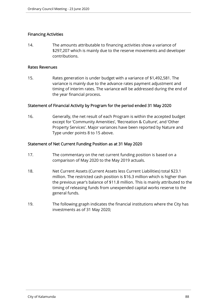### Financing Activities

14. The amounts attributable to financing activities show a variance of \$297,207 which is mainly due to the reserve movements and developer contributions.

#### Rates Revenues

15. Rates generation is under budget with a variance of \$1,492,581. The variance is mainly due to the advance rates payment adjustment and timing of interim rates. The variance will be addressed during the end of the year financial process.

#### Statement of Financial Activity by Program for the period ended 31 May 2020

16. Generally, the net result of each Program is within the accepted budget except for 'Community Amenities', 'Recreation & Culture', and 'Other Property Services'. Major variances have been reported by Nature and Type under points 8 to 15 above.

#### Statement of Net Current Funding Position as at 31 May 2020

- 17. The commentary on the net current funding position is based on a comparison of May 2020 to the May 2019 actuals.
- 18. Net Current Assets (Current Assets less Current Liabilities) total \$23.1 million. The restricted cash position is \$16.3 million which is higher than the previous year's balance of \$11.8 million. This is mainly attributed to the timing of releasing funds from unexpended capital works reserve to the general funds.
- 19. The following graph indicates the financial institutions where the City has investments as of 31 May 2020;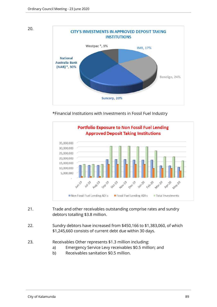



\*Financial Institutions with Investments in Fossil Fuel Industry



- 21. Trade and other receivables outstanding comprise rates and sundry debtors totalling \$3.8 million.
- 22. Sundry debtors have increased from \$450,166 to \$1,383,060, of which \$1,245,660 consists of current debt due within 30 days.
- 23. Receivables Other represents \$1.3 million including:
	- a) Emergency Service Levy receivables \$0.5 million; and
	- b) Receivables sanitation \$0.5 million.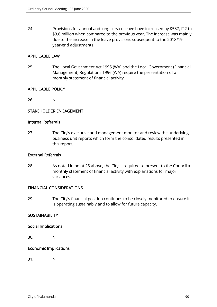24. Provisions for annual and long service leave have increased by \$587,122 to \$3.6 million when compared to the previous year. The increase was mainly due to the increase in the leave provisions subsequent to the 2018/19 year-end adjustments.

## APPLICABLE LAW

25. The Local Government Act 1995 (WA) and the Local Government (Financial Management) Regulations 1996 (WA) require the presentation of a monthly statement of financial activity.

### APPLICABLE POLICY

26. Nil.

## STAKEHOLDER ENGAGEMENT

#### Internal Referrals

27. The City's executive and management monitor and review the underlying business unit reports which form the consolidated results presented in this report.

### External Referrals

28. As noted in point 25 above, the City is required to present to the Council a monthly statement of financial activity with explanations for major variances.

### FINANCIAL CONSIDERATIONS

29. The City's financial position continues to be closely monitored to ensure it is operating sustainably and to allow for future capacity.

### **SUSTAINABILITY**

### Social Implications

30. Nil.

### Economic Implications

31. Nil.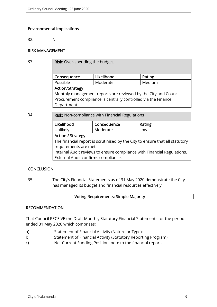## Environmental Implications

32. Nil.

## RISK MANAGEMENT

| 33. | Risk: Over-spending the budget.                                  |            |        |  |  |
|-----|------------------------------------------------------------------|------------|--------|--|--|
|     | Consequence                                                      | Likelihood | Rating |  |  |
|     | Possible                                                         | Moderate   | Medium |  |  |
|     | <b>Action/Strategy</b>                                           |            |        |  |  |
|     | Monthly management reports are reviewed by the City and Council. |            |        |  |  |
|     | Procurement compliance is centrally controlled via the Finance   |            |        |  |  |
|     | Department.                                                      |            |        |  |  |
|     |                                                                  |            |        |  |  |

34. **Risk:** Non-compliance with Financial Regulations

| Likelihood                                                                   | Consequence     | Rating |  |  |
|------------------------------------------------------------------------------|-----------------|--------|--|--|
| Unlikely                                                                     | Moderate<br>Low |        |  |  |
| <b>Action / Strategy</b>                                                     |                 |        |  |  |
| The financial report is scrutinised by the City to ensure that all statutory |                 |        |  |  |
| requirements are met.                                                        |                 |        |  |  |
| Internal Audit reviews to ensure compliance with Financial Regulations.      |                 |        |  |  |
| External Audit confirms compliance.                                          |                 |        |  |  |

### **CONCLUSION**

35. The City's Financial Statements as of 31 May 2020 demonstrate the City has managed its budget and financial resources effectively.

### Voting Requirements: Simple Majority

#### **RECOMMENDATION**

That Council RECEIVE the Draft Monthly Statutory Financial Statements for the period ended 31 May 2020 which comprises:

- a) Statement of Financial Activity (Nature or Type);
- b) Statement of Financial Activity (Statutory Reporting Program);
- c) Net Current Funding Position, note to the financial report.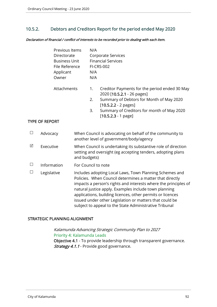## 10.5.2. Debtors and Creditors Report for the period ended May 2020

Declaration of financial / conflict of interests to be recorded prior to dealing with each item.

|        |                       | Previous Items<br>Directorate<br><b>Business Unit</b><br>File Reference<br>Applicant<br>Owner |                                                                                                                                              | N/A<br>N/A<br>N/A | <b>Corporate Services</b><br><b>Financial Services</b><br><b>FI-CRS-002</b>                                                                                                                                                                                                                                                                                                                                                        |
|--------|-----------------------|-----------------------------------------------------------------------------------------------|----------------------------------------------------------------------------------------------------------------------------------------------|-------------------|------------------------------------------------------------------------------------------------------------------------------------------------------------------------------------------------------------------------------------------------------------------------------------------------------------------------------------------------------------------------------------------------------------------------------------|
|        | <b>TYPE OF REPORT</b> | Attachments                                                                                   |                                                                                                                                              | 1.<br>2.<br>3.    | Creditor Payments for the period ended 30 May<br>2020 [10.5.2.1 - 26 pages]<br>Summary of Debtors for Month of May 2020<br>$[10.5.2.2 - 2$ pages]<br>Summary of Creditors for month of May 2020<br>$[10.5.2.3 - 1$ page]                                                                                                                                                                                                           |
| $\Box$ | Advocacy              |                                                                                               | When Council is advocating on behalf of the community to<br>another level of government/body/agency                                          |                   |                                                                                                                                                                                                                                                                                                                                                                                                                                    |
| ☑      | Executive             |                                                                                               | When Council is undertaking its substantive role of direction<br>setting and oversight (eg accepting tenders, adopting plans<br>and budgets) |                   |                                                                                                                                                                                                                                                                                                                                                                                                                                    |
| $\Box$ | Information           |                                                                                               | For Council to note                                                                                                                          |                   |                                                                                                                                                                                                                                                                                                                                                                                                                                    |
| $\Box$ | Legislative           |                                                                                               |                                                                                                                                              |                   | Includes adopting Local Laws, Town Planning Schemes and<br>Policies. When Council determines a matter that directly<br>impacts a person's rights and interests where the principles of<br>natural justice apply. Examples include town planning<br>applications, building licences, other permits or licences<br>issued under other Legislation or matters that could be<br>subject to appeal to the State Administrative Tribunal |

#### STRATEGIC PLANNING ALIGNMENT

Kalamunda Advancing Strategic Community Plan to 2027 Priority 4: Kalamunda Leads Objective 4.1 - To provide leadership through transparent governance. Strategy 4.1.1 - Provide good governance.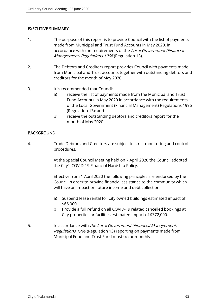## EXECUTIVE SUMMARY

- 1. The purpose of this report is to provide Council with the list of payments made from Municipal and Trust Fund Accounts in May 2020, in accordance with the requirements of the *Local Government (Financial*) Management) Regulations 1996 (Regulation 13).
- 2. The Debtors and Creditors report provides Council with payments made from Municipal and Trust accounts together with outstanding debtors and creditors for the month of May 2020.
- 3. It is recommended that Council:
	- a) receive the list of payments made from the Municipal and Trust Fund Accounts in May 2020 in accordance with the requirements of the Local Government (Financial Management) Regulations 1996 (Regulation 13); and
	- b) receive the outstanding debtors and creditors report for the month of May 2020.

### BACKGROUND

4. Trade Debtors and Creditors are subject to strict monitoring and control procedures.

> At the Special Council Meeting held on 7 April 2020 the Council adopted the City's COVID-19 Financial Hardship Policy.

> Effective from 1 April 2020 the following principles are endorsed by the Council in order to provide financial assistance to the community which will have an impact on future income and debt collection.

- a) Suspend lease rental for City owned buildings estimated impact of \$66,000.
- b) Provide a full refund on all COVID-19 related cancelled bookings at City properties or facilities estimated impact of \$372,000.
- 5. In accordance with the Local Government (Financial Management) Regulations 1996 (Regulation 13) reporting on payments made from Municipal Fund and Trust Fund must occur monthly.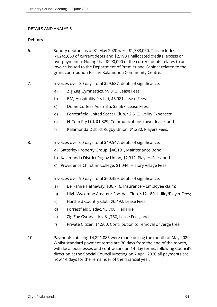## DETAILS AND ANALYSIS

### **Debtors**

- 6. Sundry debtors as of 31 May 2020 were \$1,383,060. This includes \$1,245,660 of current debts and \$2,193 unallocated credits (excess or overpayments). Noting that \$990,000 of the current debts relates to an invoice issued to the Department of Premier and Cabinet related to the grant contribution for the Kalamunda Community Centre.
- 7. Invoices over 30 days total \$29,687, debts of significance:
	- a) Zig Zag Gymnastics, \$9,313, Lease Fees;
	- b) BMJ Hospitality Pty Ltd, \$5,981, Lease Fees;
	- c) Dome Coffees Australia, \$2,567, Lease Fees;
	- d) Forrestfield United Soccer Club, \$2,512, Utility Expenses;
	- e) N-Com Pty Ltd, \$1,829, Communications tower lease; and
	- f) Kalamunda District Rugby Union, \$1,280, Players Fees.
- 8. Invoices over 60 days total \$49,547, debts of significance:
	- a) Satterley Property Group, \$46,191, Maintenance Bond;
	- b) Kalamunda District Rugby Union, \$2,312, Players Fees; and
	- c) Providence Christian College, \$1,044, History Village Fees.
- 9. Invoices over 90 days total \$60,359, debts of significance:
	- a) Berkshire Hathaway, \$30,716, Insurance Employee claim;
	- b) High Wycombe Amateur Football Club, \$12,180, Utility/Player Fees;
	- c) Hartfield Country Club, \$6,492, Lease Fees;
	- d) Forrestfield Sisdac, \$3,708, Hall Hire;
	- e) Zig Zag Gymnastics, \$1,750, Lease Fees; and
	- f) Private Citizen, \$1,500, Contribution to removal of verge tree.
- 10. Payments totalling \$4,821,085 were made during the month of May 2020. Whilst standard payment terms are 30 days from the end of the month, with local businesses and contractors on 14-day terms, following Council's direction at the Special Council Meeting on 7 April 2020 all payments are now 14 days for the remainder of the financial year.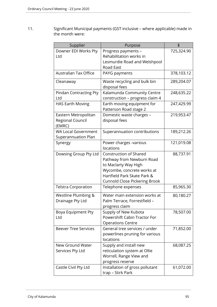11. Significant Municipal payments (GST inclusive – where applicable) made in the month were:

| Supplier                     | Purpose                                              | \$         |
|------------------------------|------------------------------------------------------|------------|
| Downer EDI Works Pty         | Progress payments -                                  | 725,324.90 |
| Ltd                          | Rehabilitation works in                              |            |
|                              | Lesmurdie Road and Welshpool                         |            |
|                              | <b>Road East</b>                                     |            |
| <b>Australian Tax Office</b> | PAYG payments                                        | 378,103.12 |
| Cleanaway                    | Waste recycling and bulk bin                         | 289,204.07 |
|                              | disposal fees                                        |            |
| Pindan Contracting Pty       | Kalamunda Community Centre                           | 248,635.22 |
| Ltd                          | construction - progress claim 4                      |            |
| <b>HAS Earth Moving</b>      | Earth moving equipment for<br>Patterson Road stage 2 | 247,429.99 |
| Eastern Metropolitan         | Domestic waste charges -                             | 219,953.47 |
| Regional Council             | disposal fees                                        |            |
| (EMRC)                       |                                                      |            |
| <b>WA Local Government</b>   | Superannuation contributions                         | 189,212.26 |
| Superannuation Plan          |                                                      |            |
| Synergy                      | Power charges -various<br>locations                  | 121,019.08 |
| Dowsing Group Pty Ltd        | <b>Construction of Shared</b>                        | 88,737.91  |
|                              | Pathway from Newburn Road                            |            |
|                              | to Maclarty Way High                                 |            |
|                              | Wycombe, concrete works at                           |            |
|                              | Hartfield Park Skate Park &                          |            |
|                              | <b>Cunnold Close Pickering Brook</b>                 |            |
| <b>Telstra Corporation</b>   | Telephone expenses                                   | 85,965.30  |
| Westline Plumbing &          | Water main extension works at                        | 80,180.27  |
| Drainage Pty Ltd             | Palm Terrace, Forrestfield -                         |            |
|                              | progress claim                                       |            |
| Boya Equipment Pty           | Supply of New Kubota                                 | 78,507.00  |
| Ltd                          | Powershift Cabin Tractor For                         |            |
|                              | <b>Operations Centre</b>                             |            |
| <b>Beever Tree Services</b>  | General tree services / under                        | 71,852.00  |
|                              | powerlines pruning for various                       |            |
|                              | locations                                            |            |
| New Ground Water             | Supply and install new                               | 68,087.25  |
| Services Pty Ltd             | reticulation system at Ollie                         |            |
|                              | Worrell, Range View and                              |            |
|                              | progress reserve                                     |            |
| Castle Civil Pty Ltd         | Installation of gross pollutant                      | 61,072.00  |
|                              | trap - Stirk Park                                    |            |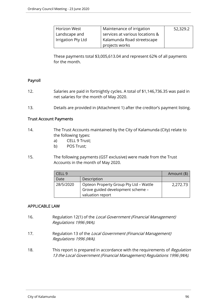| Horizon West       | Maintenance of irrigation       | 52,329.2 |
|--------------------|---------------------------------|----------|
| Landscape and      | services at various locations & |          |
| Irrigation Pty Ltd | Kalamunda Road streetscape      |          |
|                    | projects works                  |          |

These payments total \$3,005,613.04 and represent 62% of all payments for the month.

### Payroll

- 12. Salaries are paid in fortnightly cycles. A total of \$1,146,736.35 was paid in net salaries for the month of May 2020.
- 13. Details are provided in (Attachment 1) after the creditor's payment listing.

#### Trust Account Payments

- 14. The Trust Accounts maintained by the City of Kalamunda (City) relate to the following types:
	- a) CELL 9 Trust;
	- b) POS Trust;
- 15. The following payments (GST exclusive) were made from the Trust Accounts in the month of May 2020.

|           |                                        | Amount (\$) |
|-----------|----------------------------------------|-------------|
| Date      | Description                            |             |
| 28/5/2020 | Opteon Property Group Pty Ltd - Wattle |             |
|           | Grove guided development scheme -      |             |
|           | valuation report                       |             |

### APPLICABLE LAW

- 16. Regulation 12(1) of the Local Government (Financial Management) Regulations 1996 (WA).
- 17. Regulation 13 of the Local Government (Financial Management) Regulations 1996 (WA).
- 18. This report is prepared in accordance with the requirements of Regulation 13 the Local Government (Financial Management) Regulations 1996 (WA).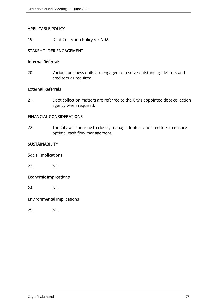### APPLICABLE POLICY

19. Debt Collection Policy S-FIN02.

## STAKEHOLDER ENGAGEMENT

#### Internal Referrals

20. Various business units are engaged to resolve outstanding debtors and creditors as required.

#### External Referrals

21. Debt collection matters are referred to the City's appointed debt collection agency when required.

#### FINANCIAL CONSIDERATIONS

22. The City will continue to closely manage debtors and creditors to ensure optimal cash flow management.

### **SUSTAINABILITY**

## Social Implications

23. Nil.

# Economic Implications

24. Nil.

## Environmental Implications

25. Nil.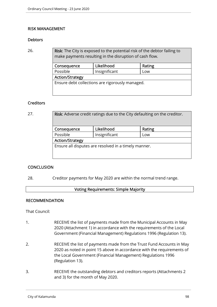#### RISK MANAGEMENT

#### **Debtors**

26. **Risk:** The City is exposed to the potential risk of the debtor failing to make payments resulting in the disruption of cash flow.

| Likelihood<br>Consequence                       |               | Rating |  |  |
|-------------------------------------------------|---------------|--------|--|--|
| Possible                                        | Insignificant | Low    |  |  |
| <b>Action/Strategy</b>                          |               |        |  |  |
| Ensure debt collections are rigorously managed. |               |        |  |  |

#### **Creditors**

| 27. | Risk: Adverse credit ratings due to the City defaulting on the creditor. |                                                      |        |  |
|-----|--------------------------------------------------------------------------|------------------------------------------------------|--------|--|
|     | Consequence                                                              | Likelihood                                           | Rating |  |
|     | Possible                                                                 | Insignificant                                        | Low    |  |
|     | <b>Action/Strategy</b>                                                   |                                                      |        |  |
|     |                                                                          | Ensure all disputes are resolved in a timely manner. |        |  |
|     |                                                                          |                                                      |        |  |

### **CONCLUSION**

28. Creditor payments for May 2020 are within the normal trend range.

#### Voting Requirements: Simple Majority

#### RECOMMENDATION

That Council:

- 1. RECEIVE the list of payments made from the Municipal Accounts in May 2020 (Attachment 1) in accordance with the requirements of the Local Government (Financial Management) Regulations 1996 (Regulation 13).
- 2. RECEIVE the list of payments made from the Trust Fund Accounts in May 2020 as noted in point 15 above in accordance with the requirements of the Local Government (Financial Management) Regulations 1996 (Regulation 13).
- 3. RECEIVE the outstanding debtors and creditors reports (Attachments 2 and 3) for the month of May 2020.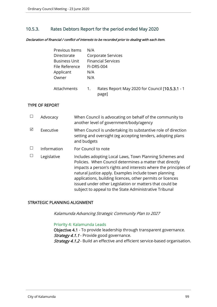## 10.5.3. Rates Debtors Report for the period ended May 2020

Declaration of financial / conflict of interests to be recorded prior to dealing with each item.

| Previous Items | N/A                                                                           |
|----------------|-------------------------------------------------------------------------------|
| Directorate    | Corporate Services                                                            |
| Business Unit  | <b>Financial Services</b>                                                     |
| File Reference | <b>FI-DRS-004</b>                                                             |
| Applicant      | N/A                                                                           |
| Owner          | N/A                                                                           |
| Attachments    | Rates Report May 2020 for Council [10.5.3.1 - 1]<br>$\overline{1}$ .<br>page] |

### TYPE OF REPORT

|   | Advocacy    | When Council is advocating on behalf of the community to<br>another level of government/body/agency                                                                                                                                                                                                                                                                                                                                |
|---|-------------|------------------------------------------------------------------------------------------------------------------------------------------------------------------------------------------------------------------------------------------------------------------------------------------------------------------------------------------------------------------------------------------------------------------------------------|
| ⊠ | Executive   | When Council is undertaking its substantive role of direction<br>setting and oversight (eg accepting tenders, adopting plans<br>and budgets                                                                                                                                                                                                                                                                                        |
|   | Information | For Council to note                                                                                                                                                                                                                                                                                                                                                                                                                |
|   | Legislative | Includes adopting Local Laws, Town Planning Schemes and<br>Policies. When Council determines a matter that directly<br>impacts a person's rights and interests where the principles of<br>natural justice apply. Examples include town planning<br>applications, building licences, other permits or licences<br>issued under other Legislation or matters that could be<br>subject to appeal to the State Administrative Tribunal |

#### STRATEGIC PLANNING ALIGNMENT

Kalamunda Advancing Strategic Community Plan to 2027

#### Priority 4: Kalamunda Leads

Objective 4.1 - To provide leadership through transparent governance. Strategy 4.1.1 - Provide good governance. Strategy 4.1.2 - Build an effective and efficient service-based organisation.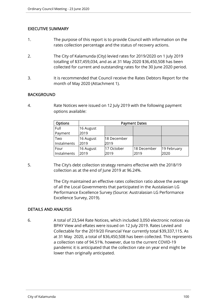### EXECUTIVE SUMMARY

- 1. The purpose of this report is to provide Council with information on the rates collection percentage and the status of recovery actions.
- 2. The City of Kalamunda (City) levied rates for 2019/2020 on 1 July 2019 totalling of \$37,459,034, and as at 31 May 2020 \$36,450,508 has been collected for current and outstanding rates for the 30 June 2020 period.
- 3. It is recommended that Council receive the Rates Debtors Report for the month of May 2020 (Attachment 1).

#### **BACKGROUND**

4. Rate Notices were issued on 12 July 2019 with the following payment options available:

| <b>Options</b> | <b>Payment Dates</b> |             |             |             |
|----------------|----------------------|-------------|-------------|-------------|
| Full           | 16 August            |             |             |             |
| Payment        | 2019                 |             |             |             |
| Two            | 16 August            | 18 December |             |             |
| Instalments    | 2019                 | 2019        |             |             |
| Four           | 16 August            | 17 October  | 18 December | 19 February |
| Instalments    | 2019                 | 2019        | 2019        | 2020        |

5. The City's debt collection strategy remains effective with the 2018/19 collection as at the end of June 2019 at 96.24%.

> The City maintained an effective rates collection ratio above the average of all the Local Governments that participated in the Austalasian LG Performance Excellence Survey (Source: Australasian LG Performance Excellence Survey, 2019).

#### DETAILS AND ANALYSIS

6. A total of 23,544 Rate Notices, which included 3,050 electronic notices via BPAY View and eRates were issued on 12 July 2019. Rates Levied and Collectable for the 2019/20 Financial Year currently total \$39,337,115. As at 31 May 2020, a total of \$36,450,508 has been collected. This represents a collection rate of 94.51%. however, due to the current COVID-19 pandemic it is anticipated that the collection rate on year end might be lower than originally anticipated.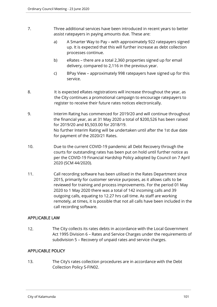- 7. Three additional services have been introduced in recent years to better assist ratepayers in paying amounts due. These are:
	- a) A Smarter Way to Pay with approximately 922 ratepayers signed up. It is expected that this will further increase as debt collection processes continue.
	- b) eRates there are a total 2,360 properties signed up for email delivery, compared to 2,116 in the previous year.
	- c) BPay View approximately 998 ratepayers have signed up for this service.
- 8. It is expected eRates registrations will increase throughout the year, as the City continues a promotional campaign to encourage ratepayers to register to receive their future rates notices electronically.
- 9. Interim Rating has commenced for 2019/20 and will continue throughout the financial year, as at 31 May 2020 a total of \$200,526 has been raised for 2019/20 and \$5,503.00 for 2018/19. No further Interim Rating will be undertaken until after the 1st due date for payment of the 2020/21 Rates.
- 10. Due to the current COVID-19 pandemic all Debt Recovery through the courts for outstanding rates has been put on hold until further notice as per the COVID-19 Financial Hardship Policy adopted by Council on 7 April 2020 (SCM 44/2020).
- 11. Call recording software has been utilised in the Rates Department since 2015, primarily for customer service purposes, as it allows calls to be reviewed for training and process improvements. For the period 01 May 2020 to 1 May 2020 there was a total of 142 incoming calls and 39 outgoing calls, equating to 12.27 hrs call time. As staff are working remotely, at times, it is possible that not all calls have been included in the call recording software.

## APPLICABLE LAW

12. The City collects its rates debts in accordance with the Local Government Act 1995 Division 6 – Rates and Service Charges under the requirements of subdivision 5 – Recovery of unpaid rates and service charges.

## APPLICABLE POLICY

13. The City's rates collection procedures are in accordance with the Debt Collection Policy S-FIN02.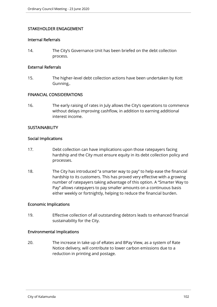## STAKEHOLDER ENGAGEMENT

#### Internal Referrals

14. The City's Governance Unit has been briefed on the debt collection process.

#### External Referrals

15. The higher-level debt collection actions have been undertaken by Kott Gunning,.

## FINANCIAL CONSIDERATIONS

16. The early raising of rates in July allows the City's operations to commence without delays improving cashflow, in addition to earning additional interest income.

#### **SUSTAINABILITY**

#### Social Implications

- 17. Debt collection can have implications upon those ratepayers facing hardship and the City must ensure equity in its debt collection policy and processes.
- 18. The City has introduced "a smarter way to pay" to help ease the financial hardship to its customers. This has proved very effective with a growing number of ratepayers taking advantage of this option. A "Smarter Way to Pay" allows ratepayers to pay smaller amounts on a continuous basis either weekly or fortnightly, helping to reduce the financial burden.

#### Economic Implications

19. Effective collection of all outstanding debtors leads to enhanced financial sustainability for the City.

#### Environmental Implications

20. The increase in take up of eRates and BPay View, as a system of Rate Notice delivery, will contribute to lower carbon emissions due to a reduction in printing and postage.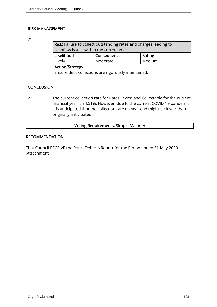## RISK MANAGEMENT

## 21.

| Risk: Failure to collect outstanding rates and charges leading to |                    |  |  |  |
|-------------------------------------------------------------------|--------------------|--|--|--|
| cashflow issues within the current year.                          |                    |  |  |  |
| Likelihood<br>Consequence<br>Rating                               |                    |  |  |  |
| Likely                                                            | Medium<br>Moderate |  |  |  |
| <b>Action/Strategy</b>                                            |                    |  |  |  |
| Ensure debt collections are rigorously maintained.                |                    |  |  |  |

## **CONCLUSION**

22. The current collection rate for Rates Levied and Collectable for the current financial year is 94.51%. However, due to the current COVID-19 pandemic it is anticipated that the collection rate on year end might be lower than originally anticipated.

## Voting Requirements: Simple Majority

#### RECOMMENDATION

That Council RECEIVE the Rates Debtors Report for the Period ended 31 May 2020 (Attachment 1).